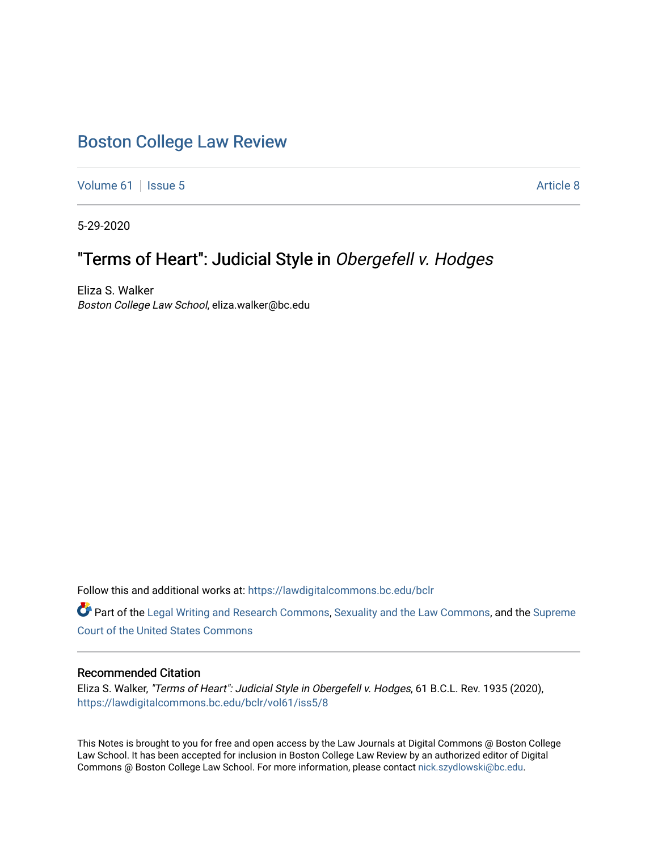# [Boston College Law Review](https://lawdigitalcommons.bc.edu/bclr)

[Volume 61](https://lawdigitalcommons.bc.edu/bclr/vol61) | [Issue 5](https://lawdigitalcommons.bc.edu/bclr/vol61/iss5) Article 8

5-29-2020

# "Terms of Heart": Judicial Style in Obergefell v. Hodges

Eliza S. Walker Boston College Law School, eliza.walker@bc.edu

Follow this and additional works at: [https://lawdigitalcommons.bc.edu/bclr](https://lawdigitalcommons.bc.edu/bclr?utm_source=lawdigitalcommons.bc.edu%2Fbclr%2Fvol61%2Fiss5%2F8&utm_medium=PDF&utm_campaign=PDFCoverPages) 

Part of the [Legal Writing and Research Commons,](http://network.bepress.com/hgg/discipline/614?utm_source=lawdigitalcommons.bc.edu%2Fbclr%2Fvol61%2Fiss5%2F8&utm_medium=PDF&utm_campaign=PDFCoverPages) [Sexuality and the Law Commons](http://network.bepress.com/hgg/discipline/877?utm_source=lawdigitalcommons.bc.edu%2Fbclr%2Fvol61%2Fiss5%2F8&utm_medium=PDF&utm_campaign=PDFCoverPages), and the [Supreme](http://network.bepress.com/hgg/discipline/1350?utm_source=lawdigitalcommons.bc.edu%2Fbclr%2Fvol61%2Fiss5%2F8&utm_medium=PDF&utm_campaign=PDFCoverPages)  [Court of the United States Commons](http://network.bepress.com/hgg/discipline/1350?utm_source=lawdigitalcommons.bc.edu%2Fbclr%2Fvol61%2Fiss5%2F8&utm_medium=PDF&utm_campaign=PDFCoverPages)

### Recommended Citation

Eliza S. Walker, "Terms of Heart": Judicial Style in Obergefell v. Hodges, 61 B.C.L. Rev. 1935 (2020), [https://lawdigitalcommons.bc.edu/bclr/vol61/iss5/8](https://lawdigitalcommons.bc.edu/bclr/vol61/iss5/8?utm_source=lawdigitalcommons.bc.edu%2Fbclr%2Fvol61%2Fiss5%2F8&utm_medium=PDF&utm_campaign=PDFCoverPages) 

This Notes is brought to you for free and open access by the Law Journals at Digital Commons @ Boston College Law School. It has been accepted for inclusion in Boston College Law Review by an authorized editor of Digital Commons @ Boston College Law School. For more information, please contact [nick.szydlowski@bc.edu.](mailto:nick.szydlowski@bc.edu)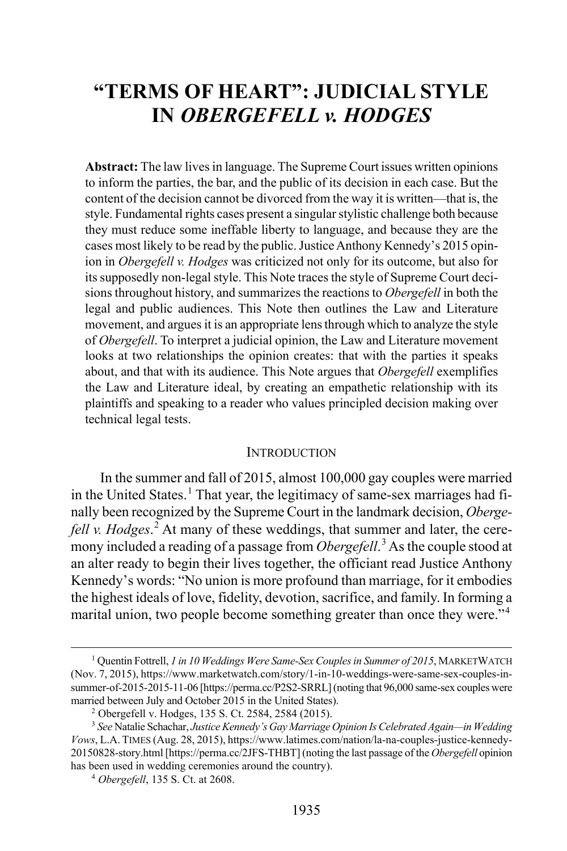# **"TERMS OF HEART": JUDICIAL STYLE IN** *OBERGEFELL v. HODGES*

**Abstract:** The law lives in language. The Supreme Court issues written opinions to inform the parties, the bar, and the public of its decision in each case. But the content of the decision cannot be divorced from the way it is written—that is, the style. Fundamental rights cases present a singular stylistic challenge both because they must reduce some ineffable liberty to language, and because they are the cases most likely to be read by the public. Justice Anthony Kennedy's 2015 opinion in *Obergefell v. Hodges* was criticized not only for its outcome, but also for its supposedly non-legal style. This Note traces the style of Supreme Court decisions throughout history, and summarizes the reactions to *Obergefell* in both the legal and public audiences. This Note then outlines the Law and Literature movement, and argues it is an appropriate lens through which to analyze the style of *Obergefell*. To interpret a judicial opinion, the Law and Literature movement looks at two relationships the opinion creates: that with the parties it speaks about, and that with its audience. This Note argues that *Obergefell* exemplifies the Law and Literature ideal, by creating an empathetic relationship with its plaintiffs and speaking to a reader who values principled decision making over technical legal tests.

#### <span id="page-1-4"></span>INTRODUCTION

In the summer and fall of 2015, almost 100,000 gay couples were married in the United States.<sup>[1](#page-1-0)</sup> That year, the legitimacy of same-sex marriages had finally been recognized by the Supreme Court in the landmark decision, *Obergefell v. Hodges*. [2](#page-1-1) At many of these weddings, that summer and later, the ceremony included a reading of a passage from *Obergefell*. [3](#page-1-2) As the couple stood at an alter ready to begin their lives together, the officiant read Justice Anthony Kennedy's words: "No union is more profound than marriage, for it embodies the highest ideals of love, fidelity, devotion, sacrifice, and family. In forming a marital union, two people become something greater than once they were."<sup>[4](#page-1-3)</sup>

<span id="page-1-0"></span> <sup>1</sup> Quentin Fottrell, *1 in 10 Weddings Were Same-Sex Couples in Summer of 2015*, MARKETWATCH (Nov. 7, 2015), https://www.marketwatch.com/story/1-in-10-weddings-were-same-sex-couples-insummer-of-2015-2015-11-06 [https://perma.cc/P2S2-SRRL] (noting that 96,000 same-sex couples were married between July and October 2015 in the United States).

<sup>2</sup> Obergefell v. Hodges, 135 S. Ct. 2584, 2584 (2015).

<span id="page-1-3"></span><span id="page-1-2"></span><span id="page-1-1"></span><sup>3</sup> *See* Natalie Schachar, *Justice Kennedy's Gay Marriage Opinion Is Celebrated Again—in Wedding Vows*, L.A.TIMES (Aug. 28, 2015), https://www.latimes.com/nation/la-na-couples-justice-kennedy-20150828-story.html [https://perma.cc/2JFS-THBT] (noting the last passage of the *Obergefell* opinion has been used in wedding ceremonies around the country).

<sup>4</sup>  *Obergefell*, 135 S. Ct. at 2608.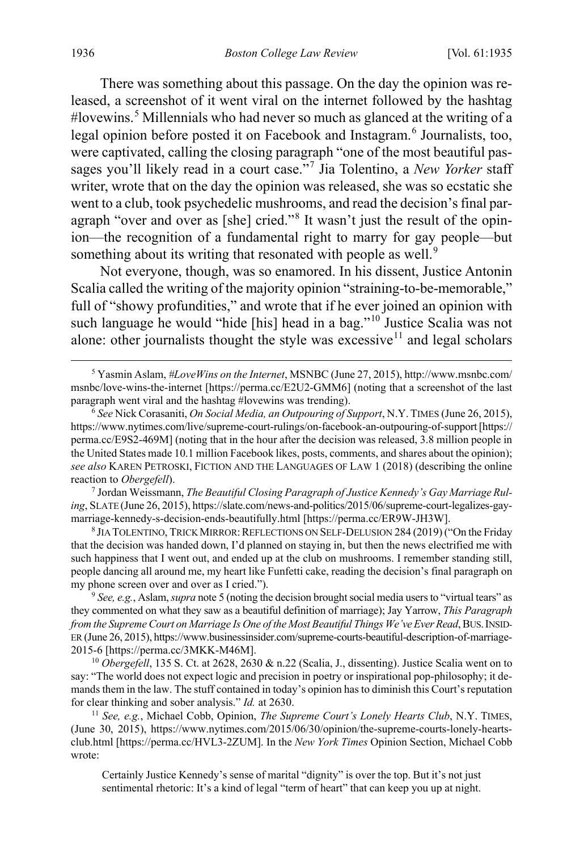<span id="page-2-9"></span><span id="page-2-8"></span><span id="page-2-0"></span>There was something about this passage. On the day the opinion was released, a screenshot of it went viral on the internet followed by the hashtag #lovewins.[5](#page-2-1) Millennials who had never so much as glanced at the writing of a legal opinion before posted it on Facebook and Instagram.<sup>[6](#page-2-2)</sup> Journalists, too, were captivated, calling the closing paragraph "one of the most beautiful passages you'll likely read in a court case."[7](#page-2-3) Jia Tolentino, a *New Yorker* staff writer, wrote that on the day the opinion was released, she was so ecstatic she went to a club, took psychedelic mushrooms, and read the decision's final paragraph "over and over as [she] cried."[8](#page-2-4) It wasn't just the result of the opinion—the recognition of a fundamental right to marry for gay people—but something about its writing that resonated with people as well.<sup>[9](#page-2-5)</sup>

<span id="page-2-10"></span>Not everyone, though, was so enamored. In his dissent, Justice Antonin Scalia called the writing of the majority opinion "straining-to-be-memorable," full of "showy profundities," and wrote that if he ever joined an opinion with such language he would "hide [his] head in a bag."<sup>[10](#page-2-6)</sup> Justice Scalia was not alone: other journalists thought the style was excessive<sup>[11](#page-2-7)</sup> and legal scholars

<span id="page-2-3"></span><sup>7</sup> Jordan Weissmann, *The Beautiful Closing Paragraph of Justice Kennedy's Gay Marriage Ruling*, SLATE (June 26, 2015), https://slate.com/news-and-politics/2015/06/supreme-court-legalizes-gaymarriage-kennedy-s-decision-ends-beautifully.html [https://perma.cc/ER9W-JH3W].

<span id="page-2-4"></span><sup>8</sup> JIA TOLENTINO, TRICK MIRROR: REFLECTIONS ON SELF-DELUSION 284 (2019) ("On the Friday that the decision was handed down, I'd planned on staying in, but then the news electrified me with such happiness that I went out, and ended up at the club on mushrooms. I remember standing still, people dancing all around me, my heart like Funfetti cake, reading the decision's final paragraph on my phone screen over and over as I cried.").

<span id="page-2-5"></span><sup>9</sup> *See, e.g.*, Aslam, *supra* not[e 5](#page-2-0) (noting the decision brought social media users to "virtual tears" as they commented on what they saw as a beautiful definition of marriage); Jay Yarrow, *This Paragraph from the Supreme Court on Marriage Is One of the Most Beautiful Things We've Ever Read*, BUS.INSID-ER (June 26, 2015), https://www.businessinsider.com/supreme-courts-beautiful-description-of-marriage-2015-6 [https://perma.cc/3MKK-M46M].

<span id="page-2-6"></span><sup>10</sup> *Obergefell*, 135 S. Ct. at 2628, 2630 & n.22 (Scalia, J., dissenting). Justice Scalia went on to say: "The world does not expect logic and precision in poetry or inspirational pop-philosophy; it demands them in the law. The stuff contained in today's opinion has to diminish this Court's reputation for clear thinking and sober analysis." *Id.* at 2630.

<span id="page-2-7"></span><sup>11</sup> *See, e.g.*, Michael Cobb, Opinion, *The Supreme Court's Lonely Hearts Club*, N.Y. TIMES, (June 30, 2015), https://www.nytimes.com/2015/06/30/opinion/the-supreme-courts-lonely-heartsclub.html [https://perma.cc/HVL3-2ZUM]. In the *New York Times* Opinion Section, Michael Cobb wrote:

Certainly Justice Kennedy's sense of marital "dignity" is over the top. But it's not just sentimental rhetoric: It's a kind of legal "term of heart" that can keep you up at night.

<span id="page-2-1"></span> <sup>5</sup> Yasmin Aslam, *#LoveWins on the Internet*, MSNBC (June 27, 2015), http://www.msnbc.com/ msnbc/love-wins-the-internet [https://perma.cc/E2U2-GMM6] (noting that a screenshot of the last paragraph went viral and the hashtag #lovewins was trending).

<span id="page-2-2"></span><sup>6</sup>  *See* Nick Corasaniti, *On Social Media, an Outpouring of Support*, N.Y.TIMES (June 26, 2015), https://www.nytimes.com/live/supreme-court-rulings/on-facebook-an-outpouring-of-support [https:// perma.cc/E9S2-469M] (noting that in the hour after the decision was released, 3.8 million people in the United States made 10.1 million Facebook likes, posts, comments, and shares about the opinion); *see also* KAREN PETROSKI, FICTION AND THE LANGUAGES OF LAW 1 (2018) (describing the online reaction to *Obergefell*).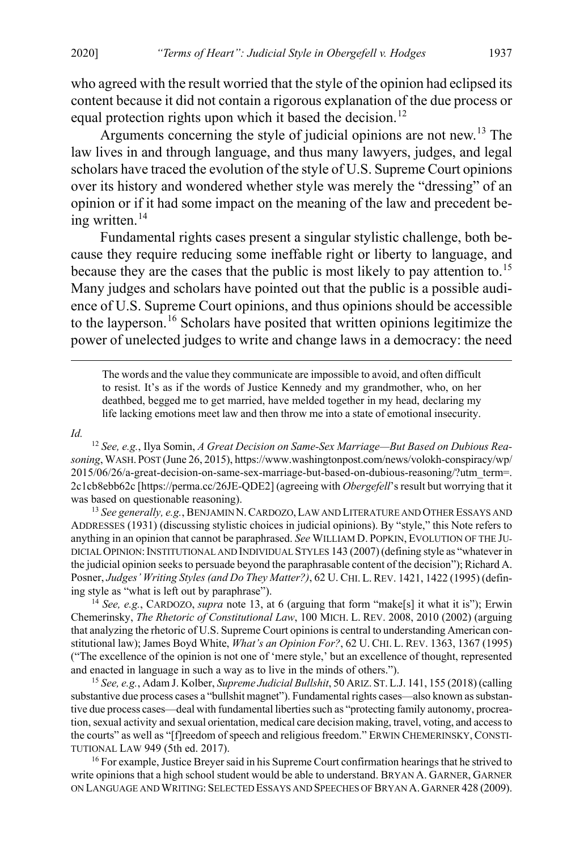who agreed with the result worried that the style of the opinion had eclipsed its content because it did not contain a rigorous explanation of the due process or equal protection rights upon which it based the decision.<sup>[12](#page-3-1)</sup>

<span id="page-3-9"></span><span id="page-3-0"></span>Arguments concerning the style of judicial opinions are not new.[13](#page-3-2) The law lives in and through language, and thus many lawyers, judges, and legal scholars have traced the evolution of the style of U.S. Supreme Court opinions over its history and wondered whether style was merely the "dressing" of an opinion or if it had some impact on the meaning of the law and precedent being written. $14$ 

<span id="page-3-6"></span>Fundamental rights cases present a singular stylistic challenge, both because they require reducing some ineffable right or liberty to language, and because they are the cases that the public is most likely to pay attention to.<sup>[15](#page-3-4)</sup> Many judges and scholars have pointed out that the public is a possible audience of U.S. Supreme Court opinions, and thus opinions should be accessible to the layperson.<sup>[16](#page-3-5)</sup> Scholars have posited that written opinions legitimize the power of unelected judges to write and change laws in a democracy: the need

<span id="page-3-8"></span><span id="page-3-7"></span> The words and the value they communicate are impossible to avoid, and often difficult to resist. It's as if the words of Justice Kennedy and my grandmother, who, on her deathbed, begged me to get married, have melded together in my head, declaring my life lacking emotions meet law and then throw me into a state of emotional insecurity.

#### *Id.*

<span id="page-3-1"></span><sup>12</sup> *See, e.g.*, Ilya Somin, *A Great Decision on Same-Sex Marriage—But Based on Dubious Reasoning*, WASH. POST (June 26, 2015), https://www.washingtonpost.com/news/volokh-conspiracy/wp/ 2015/06/26/a-great-decision-on-same-sex-marriage-but-based-on-dubious-reasoning/?utm\_term=. 2c1cb8ebb62c [https://perma.cc/26JE-QDE2] (agreeing with *Obergefell*'s result but worrying that it was based on questionable reasoning).

<span id="page-3-2"></span><sup>13</sup> *See generally, e.g.*, BENJAMIN N.CARDOZO,LAW AND LITERATURE AND OTHER ESSAYS AND ADDRESSES (1931) (discussing stylistic choices in judicial opinions). By "style," this Note refers to anything in an opinion that cannot be paraphrased. *See* WILLIAM D. POPKIN, EVOLUTION OF THE JU-DICIAL OPINION:INSTITUTIONAL AND INDIVIDUAL STYLES 143 (2007) (defining style as "whatever in the judicial opinion seeks to persuade beyond the paraphrasable content of the decision"); Richard A. Posner, *Judges' Writing Styles (and Do They Matter?)*, 62 U. CHI. L.REV. 1421, 1422 (1995) (defining style as "what is left out by paraphrase").

<span id="page-3-3"></span><sup>14</sup> *See, e.g.*, CARDOZO, *supra* note [13,](#page-3-0) at 6 (arguing that form "make[s] it what it is"); Erwin Chemerinsky, *The Rhetoric of Constitutional Law*, 100 MICH. L. REV. 2008, 2010 (2002) (arguing that analyzing the rhetoric of U.S. Supreme Court opinions is central to understanding American constitutional law); James Boyd White, *What's an Opinion For?*, 62 U. CHI. L. REV. 1363, 1367 (1995) ("The excellence of the opinion is not one of 'mere style,' but an excellence of thought, represented and enacted in language in such a way as to live in the minds of others.").

<span id="page-3-4"></span><sup>15</sup> *See, e.g.*, Adam J. Kolber, *Supreme Judicial Bullshit*, 50 ARIZ. ST.L.J. 141, 155 (2018) (calling substantive due process cases a "bullshit magnet"). Fundamental rights cases—also known as substantive due process cases—deal with fundamental liberties such as "protecting family autonomy, procreation, sexual activity and sexual orientation, medical care decision making, travel, voting, and access to the courts" as well as "[f]reedom of speech and religious freedom." ERWIN CHEMERINSKY, CONSTI-TUTIONAL LAW 949 (5th ed. 2017). 16 For example, Justice Breyer said in his Supreme Court confirmation hearings that he strived to

<span id="page-3-5"></span>write opinions that a high school student would be able to understand. BRYAN A. GARNER, GARNER ON LANGUAGE AND WRITING: SELECTED ESSAYS AND SPEECHES OF BRYAN A.GARNER 428 (2009).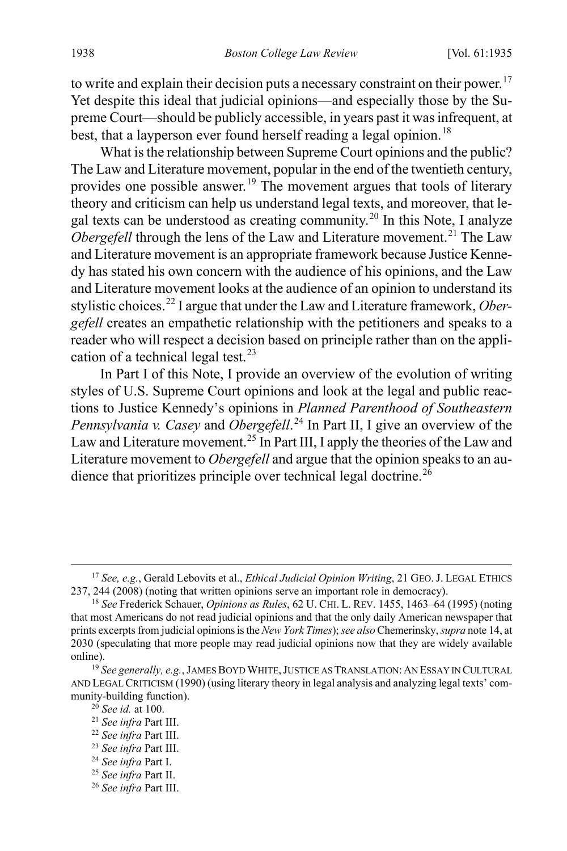<span id="page-4-10"></span>to write and explain their decision puts a necessary constraint on their power.<sup>[17](#page-4-0)</sup> Yet despite this ideal that judicial opinions—and especially those by the Supreme Court—should be publicly accessible, in years past it was infrequent, at best, that a layperson ever found herself reading a legal opinion.<sup>[18](#page-4-1)</sup>

<span id="page-4-12"></span><span id="page-4-11"></span>What is the relationship between Supreme Court opinions and the public? The Law and Literature movement, popular in the end of the twentieth century, provides one possible answer.<sup>[19](#page-4-2)</sup> The movement argues that tools of literary theory and criticism can help us understand legal texts, and moreover, that le-gal texts can be understood as creating community.<sup>[20](#page-4-3)</sup> In this Note, I analyze *Obergefell* through the lens of the Law and Literature movement.<sup>[21](#page-4-4)</sup> The Law and Literature movement is an appropriate framework because Justice Kennedy has stated his own concern with the audience of his opinions, and the Law and Literature movement looks at the audience of an opinion to understand its stylistic choices.[22](#page-4-5) I argue that under the Law and Literature framework, *Obergefell* creates an empathetic relationship with the petitioners and speaks to a reader who will respect a decision based on principle rather than on the appli-cation of a technical legal test.<sup>[23](#page-4-6)</sup>

In Part I of this Note, I provide an overview of the evolution of writing styles of U.S. Supreme Court opinions and look at the legal and public reactions to Justice Kennedy's opinions in *Planned Parenthood of Southeastern Pennsylvania v. Casey* and *Obergefell*. [24](#page-4-7) In Part II, I give an overview of the Law and Literature movement.<sup>[25](#page-4-8)</sup> In Part III, I apply the theories of the Law and Literature movement to *Obergefell* and argue that the opinion speaks to an au-dience that prioritizes principle over technical legal doctrine.<sup>[26](#page-4-9)</sup>

<span id="page-4-0"></span> <sup>17</sup> *See, e.g.*, Gerald Lebovits et al., *Ethical Judicial Opinion Writing*, 21 GEO. J. LEGAL ETHICS 237, 244 (2008) (noting that written opinions serve an important role in democracy).

<span id="page-4-1"></span><sup>18</sup> *See* Frederick Schauer, *Opinions as Rules*, 62 U. CHI. L. REV. 1455, 1463–64 (1995) (noting that most Americans do not read judicial opinions and that the only daily American newspaper that prints excerpts from judicial opinions is the *New York Times*); *see also* Chemerinsky, *supra* not[e 14,](#page-3-6) at 2030 (speculating that more people may read judicial opinions now that they are widely available online).<br><sup>19</sup> *See generally, e.g.*, JAMES BOYD WHITE, JUSTICE AS TRANSLATION: AN ESSAY IN CULTURAL

<span id="page-4-4"></span><span id="page-4-3"></span><span id="page-4-2"></span>AND LEGAL CRITICISM (1990) (using literary theory in legal analysis and analyzing legal texts' community-building function).

<sup>&</sup>lt;sup>20</sup> *See id.* at 100.<br><sup>21</sup> *See infra* Part III.

<span id="page-4-5"></span><sup>21</sup> *See infra* Part III. 22 *See infra* Part III. 23 *See infra* Part III. 24 *See infra* Part I.

<span id="page-4-7"></span><span id="page-4-6"></span>

<span id="page-4-8"></span><sup>25</sup> *See infra* Part II.

<span id="page-4-9"></span><sup>26</sup> *See infra* Part III.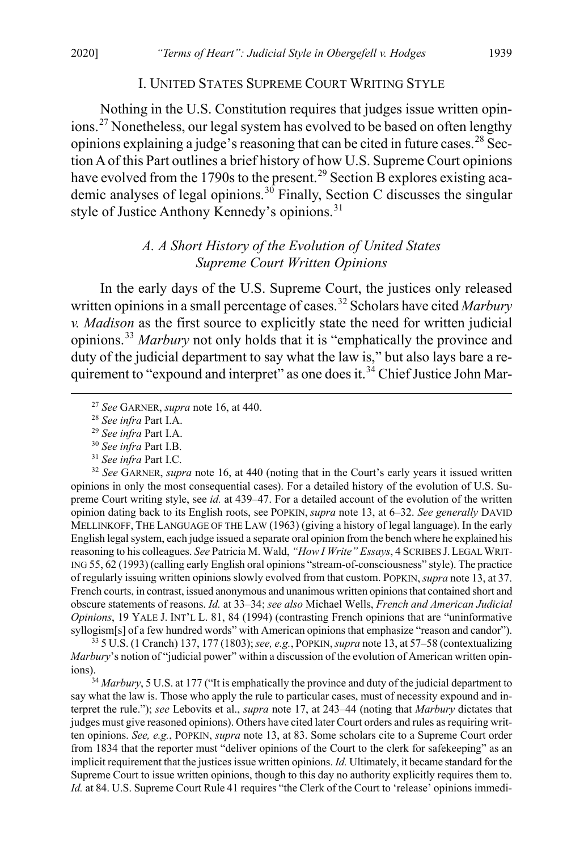#### I. UNITED STATES SUPREME COURT WRITING STYLE

Nothing in the U.S. Constitution requires that judges issue written opinions.[27](#page-5-0) Nonetheless, our legal system has evolved to be based on often lengthy opinions explaining a judge's reasoning that can be cited in future cases.<sup>[28](#page-5-1)</sup> Section A of this Part outlines a brief history of how U.S. Supreme Court opinions have evolved from the 1790s to the present.<sup>[29](#page-5-2)</sup> Section B explores existing aca-demic analyses of legal opinions.<sup>[30](#page-5-3)</sup> Finally, Section C discusses the singular style of Justice Anthony Kennedy's opinions.<sup>[31](#page-5-4)</sup>

## <span id="page-5-8"></span>*A. A Short History of the Evolution of United States Supreme Court Written Opinions*

In the early days of the U.S. Supreme Court, the justices only released written opinions in a small percentage of cases.<sup>[32](#page-5-5)</sup> Scholars have cited *Marbury v. Madison* as the first source to explicitly state the need for written judicial opinions.[33](#page-5-6) *Marbury* not only holds that it is "emphatically the province and duty of the judicial department to say what the law is," but also lays bare a re-quirement to "expound and interpret" as one does it.<sup>[34](#page-5-7)</sup> Chief Justice John Mar-

<span id="page-5-5"></span><span id="page-5-4"></span><span id="page-5-3"></span><span id="page-5-2"></span><span id="page-5-1"></span><span id="page-5-0"></span><sup>29</sup> See infra Part I.A.<br><sup>30</sup> See infra Part I.B.<br><sup>31</sup> See infra Part I.C.<br><sup>32</sup> See GARNER, *supra* not[e 16,](#page-3-7) at 440 (noting that in the Court's early years it issued written opinions in only the most consequential cases). For a detailed history of the evolution of U.S. Supreme Court writing style, see *id.* at 439–47. For a detailed account of the evolution of the written opinion dating back to its English roots, see POPKIN, *supra* note [13,](#page-3-0) at 6–32. *See generally* DAVID MELLINKOFF, THE LANGUAGE OF THE LAW (1963) (giving a history of legal language). In the early English legal system, each judge issued a separate oral opinion from the bench where he explained his reasoning to his colleagues. *See* Patricia M. Wald, *"How I Write" Essays*, 4 SCRIBES J.LEGAL WRIT-ING 55, 62 (1993) (calling early English oral opinions "stream-of-consciousness" style). The practice of regularly issuing written opinions slowly evolved from that custom. POPKIN, *supra* not[e 13,](#page-3-0) at 37. French courts, in contrast, issued anonymous and unanimous written opinions that contained short and obscure statements of reasons. *Id.* at 33–34; *see also* Michael Wells, *French and American Judicial Opinions*, 19 YALE J. INT'L L. 81, 84 (1994) (contrasting French opinions that are "uninformative syllogism[s] of a few hundred words" with American opinions that emphasize "reason and candor").

<span id="page-5-6"></span><sup>33</sup> 5 U.S. (1 Cranch) 137, 177 (1803);*see, e.g.*, POPKIN, *supra* not[e 13,](#page-3-0) at 57–58 (contextualizing *Marbury*'s notion of "judicial power" within a discussion of the evolution of American written opinions).<br><sup>34</sup> *Marbury*, 5 U.S. at 177 ("It is emphatically the province and duty of the judicial department to

<span id="page-5-7"></span>say what the law is. Those who apply the rule to particular cases, must of necessity expound and interpret the rule."); *see* Lebovits et al., *supra* note [17,](#page-4-10) at 243–44 (noting that *Marbury* dictates that judges must give reasoned opinions). Others have cited later Court orders and rules as requiring written opinions. *See, e.g.*, POPKIN, *supra* not[e 13,](#page-3-0) at 83. Some scholars cite to a Supreme Court order from 1834 that the reporter must "deliver opinions of the Court to the clerk for safekeeping" as an implicit requirement that the justices issue written opinions. *Id.* Ultimately, it became standard for the Supreme Court to issue written opinions, though to this day no authority explicitly requires them to. *Id.* at 84. U.S. Supreme Court Rule 41 requires "the Clerk of the Court to 'release' opinions immedi-

 <sup>27</sup> *See* GARNER, *supra* note [16,](#page-3-7) at 440.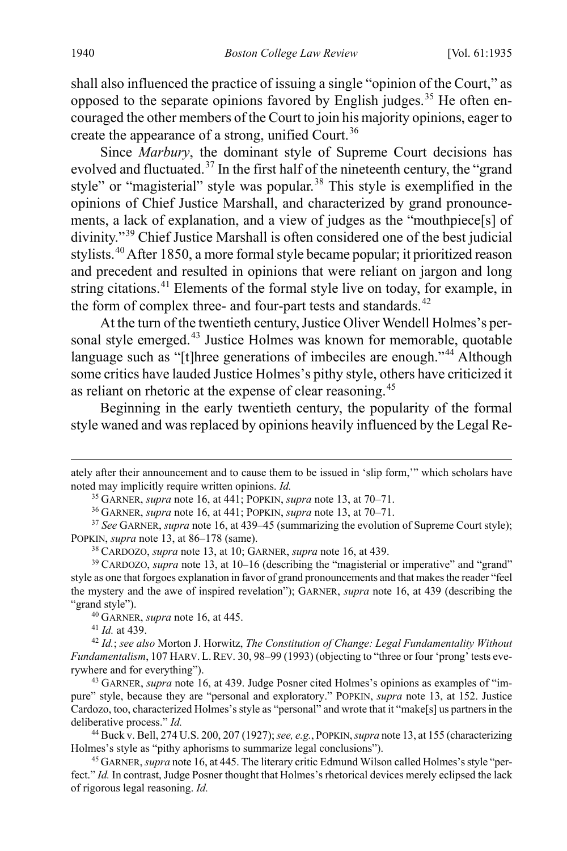shall also influenced the practice of issuing a single "opinion of the Court," as opposed to the separate opinions favored by English judges.<sup>[35](#page-6-0)</sup> He often encouraged the other members of the Court to join his majority opinions, eager to create the appearance of a strong, unified Court.<sup>[36](#page-6-1)</sup>

<span id="page-6-11"></span>Since *Marbury*, the dominant style of Supreme Court decisions has evolved and fluctuated.<sup>[37](#page-6-2)</sup> In the first half of the nineteenth century, the "grand" style" or "magisterial" style was popular.<sup>[38](#page-6-3)</sup> This style is exemplified in the opinions of Chief Justice Marshall, and characterized by grand pronouncements, a lack of explanation, and a view of judges as the "mouthpiece[s] of divinity."[39](#page-6-4) Chief Justice Marshall is often considered one of the best judicial stylists.[40](#page-6-5) After 1850, a more formal style became popular; it prioritized reason and precedent and resulted in opinions that were reliant on jargon and long string citations.<sup>[41](#page-6-6)</sup> Elements of the formal style live on today, for example, in the form of complex three- and four-part tests and standards.<sup>[42](#page-6-7)</sup>

<span id="page-6-12"></span>At the turn of the twentieth century, Justice Oliver Wendell Holmes's per-sonal style emerged.<sup>[43](#page-6-8)</sup> Justice Holmes was known for memorable, quotable language such as "[t]hree generations of imbeciles are enough."<sup>[44](#page-6-9)</sup> Although some critics have lauded Justice Holmes's pithy style, others have criticized it as reliant on rhetoric at the expense of clear reasoning.[45](#page-6-10)

Beginning in the early twentieth century, the popularity of the formal style waned and was replaced by opinions heavily influenced by the Legal Re-

<sup>41</sup> *Id.* at 439.

 $\overline{a}$ 

<span id="page-6-0"></span>ately after their announcement and to cause them to be issued in 'slip form,'" which scholars have noted may implicitly require written opinions. *Id.*

<sup>35</sup> GARNER, *supra* not[e 16,](#page-3-7) at 441; POPKIN, *supra* not[e 13,](#page-3-0) at 70–71.

<sup>36</sup> GARNER, *supra* not[e 16,](#page-3-7) at 441; POPKIN, *supra* not[e 13,](#page-3-0) at 70–71.

<span id="page-6-2"></span><span id="page-6-1"></span><sup>37</sup> *See* GARNER, *supra* note [16,](#page-3-7) at 439–45 (summarizing the evolution of Supreme Court style); POPKIN, *supra* not[e 13,](#page-3-0) at 86–178 (same).

<sup>38</sup> CARDOZO, *supra* not[e 13,](#page-3-0) at 10; GARNER, *supra* note [16,](#page-3-7) at 439.

<span id="page-6-4"></span><span id="page-6-3"></span><sup>39</sup> CARDOZO, *supra* note [13,](#page-3-0) at 10–16 (describing the "magisterial or imperative" and "grand" style as one that forgoes explanation in favor of grand pronouncements and that makes the reader "feel the mystery and the awe of inspired revelation"); GARNER, *supra* note [16,](#page-3-7) at 439 (describing the "grand style").

<sup>40</sup> GARNER, *supra* not[e 16,](#page-3-7) at 445.

<span id="page-6-7"></span><span id="page-6-6"></span><span id="page-6-5"></span><sup>42</sup> *Id.*; *see also* Morton J. Horwitz, *The Constitution of Change: Legal Fundamentality Without Fundamentalism*, 107 HARV. L.REV. 30, 98–99 (1993) (objecting to "three or four 'prong' tests everywhere and for everything").

<span id="page-6-8"></span><sup>43</sup> GARNER, *supra* note [16,](#page-3-7) at 439. Judge Posner cited Holmes's opinions as examples of "impure" style, because they are "personal and exploratory." POPKIN, *supra* note [13,](#page-3-0) at 152. Justice Cardozo, too, characterized Holmes's style as "personal" and wrote that it "make[s] us partners in the deliberative process." *Id.*

<span id="page-6-9"></span><sup>44</sup> Buck v. Bell, 274 U.S. 200, 207 (1927); *see, e.g.*, POPKIN, *supra* not[e 13,](#page-3-0) at 155 (characterizing Holmes's style as "pithy aphorisms to summarize legal conclusions").

<span id="page-6-10"></span><sup>45</sup> GARNER, *supra* not[e 16,](#page-3-7) at 445. The literary critic Edmund Wilson called Holmes's style "perfect." *Id.* In contrast, Judge Posner thought that Holmes's rhetorical devices merely eclipsed the lack of rigorous legal reasoning. *Id.*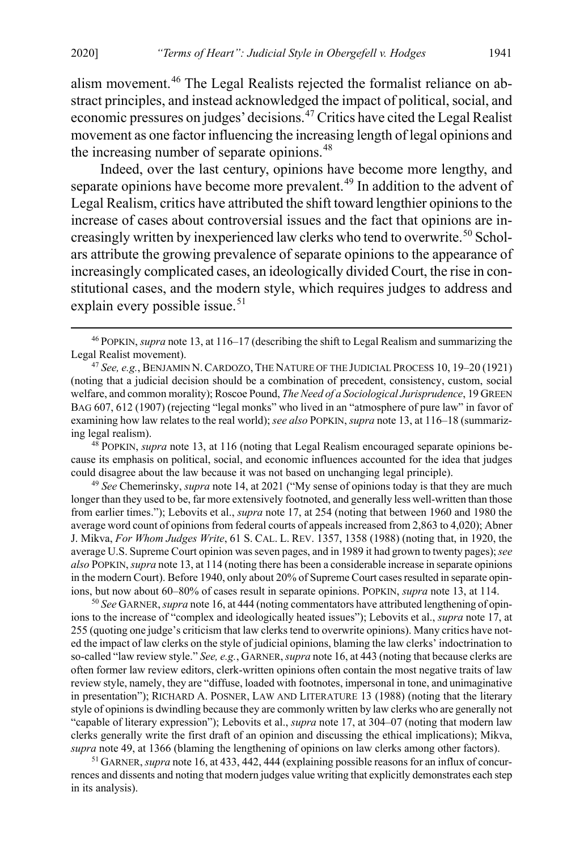alism movement.[46](#page-7-1) The Legal Realists rejected the formalist reliance on abstract principles, and instead acknowledged the impact of political, social, and economic pressures on judges' decisions.[47](#page-7-2) Critics have cited the Legal Realist movement as one factor influencing the increasing length of legal opinions and the increasing number of separate opinions.<sup>[48](#page-7-3)</sup>

<span id="page-7-7"></span><span id="page-7-0"></span>Indeed, over the last century, opinions have become more lengthy, and separate opinions have become more prevalent.<sup>[49](#page-7-4)</sup> In addition to the advent of Legal Realism, critics have attributed the shift toward lengthier opinions to the increase of cases about controversial issues and the fact that opinions are in-creasingly written by inexperienced law clerks who tend to overwrite.<sup>[50](#page-7-5)</sup> Scholars attribute the growing prevalence of separate opinions to the appearance of increasingly complicated cases, an ideologically divided Court, the rise in constitutional cases, and the modern style, which requires judges to address and explain every possible issue.<sup>[51](#page-7-6)</sup>

<span id="page-7-3"></span><sup>48</sup> POPKIN, *supra* not[e 13,](#page-3-0) at 116 (noting that Legal Realism encouraged separate opinions because its emphasis on political, social, and economic influences accounted for the idea that judges could disagree about the law because it was not based on unchanging legal principle).

<span id="page-7-4"></span><sup>49</sup> *See* Chemerinsky, *supra* not[e 14,](#page-3-6) at 2021 ("My sense of opinions today is that they are much longer than they used to be, far more extensively footnoted, and generally less well-written than those from earlier times."); Lebovits et al., *supra* not[e 17,](#page-4-10) at 254 (noting that between 1960 and 1980 the average word count of opinions from federal courts of appeals increased from 2,863 to 4,020); Abner J. Mikva, *For Whom Judges Write*, 61 S. CAL. L. REV. 1357, 1358 (1988) (noting that, in 1920, the average U.S. Supreme Court opinion was seven pages, and in 1989 it had grown to twenty pages); *see also* POPKIN, *supra* not[e 13,](#page-3-0) at 114 (noting there has been a considerable increase in separate opinions in the modern Court). Before 1940, only about 20% of Supreme Court cases resulted in separate opinions, but now about 60–80% of cases result in separate opinions. POPKIN, *supra* note [13,](#page-3-0) at 114.

<span id="page-7-5"></span>50 *See* GARNER, *supra* not[e 16,](#page-3-7) at 444 (noting commentators have attributed lengthening of opinions to the increase of "complex and ideologically heated issues"); Lebovits et al., *supra* not[e 17,](#page-4-10) at 255 (quoting one judge's criticism that law clerks tend to overwrite opinions). Many critics have noted the impact of law clerks on the style of judicial opinions, blaming the law clerks' indoctrination to so-called "law review style." *See, e.g.*, GARNER, *supra* not[e 16,](#page-3-7) at 443 (noting that because clerks are often former law review editors, clerk-written opinions often contain the most negative traits of law review style, namely, they are "diffuse, loaded with footnotes, impersonal in tone, and unimaginative in presentation"); RICHARD A. POSNER, LAW AND LITERATURE 13 (1988) (noting that the literary style of opinions is dwindling because they are commonly written by law clerks who are generally not "capable of literary expression"); Lebovits et al., *supra* note [17,](#page-4-10) at 304–07 (noting that modern law clerks generally write the first draft of an opinion and discussing the ethical implications); Mikva, *supra* not[e 49,](#page-7-0) at 1366 (blaming the lengthening of opinions on law clerks among other factors).

<span id="page-7-6"></span><sup>51</sup> GARNER, *supra* not[e 16,](#page-3-7) at 433, 442, 444 (explaining possible reasons for an influx of concurrences and dissents and noting that modern judges value writing that explicitly demonstrates each step in its analysis).

<span id="page-7-1"></span> <sup>46</sup> POPKIN, *supra* not[e 13,](#page-3-0) at 116–17 (describing the shift to Legal Realism and summarizing the Legal Realist movement).

<span id="page-7-2"></span><sup>47</sup> *See, e.g.*, BENJAMIN N.CARDOZO, THE NATURE OF THE JUDICIAL PROCESS 10, 19–20 (1921) (noting that a judicial decision should be a combination of precedent, consistency, custom, social welfare, and common morality); Roscoe Pound, *The Need of a Sociological Jurisprudence*, 19 GREEN BAG 607, 612 (1907) (rejecting "legal monks" who lived in an "atmosphere of pure law" in favor of examining how law relates to the real world); *see also* POPKIN, *supra* not[e 13,](#page-3-0) at 116–18 (summarizing legal realism).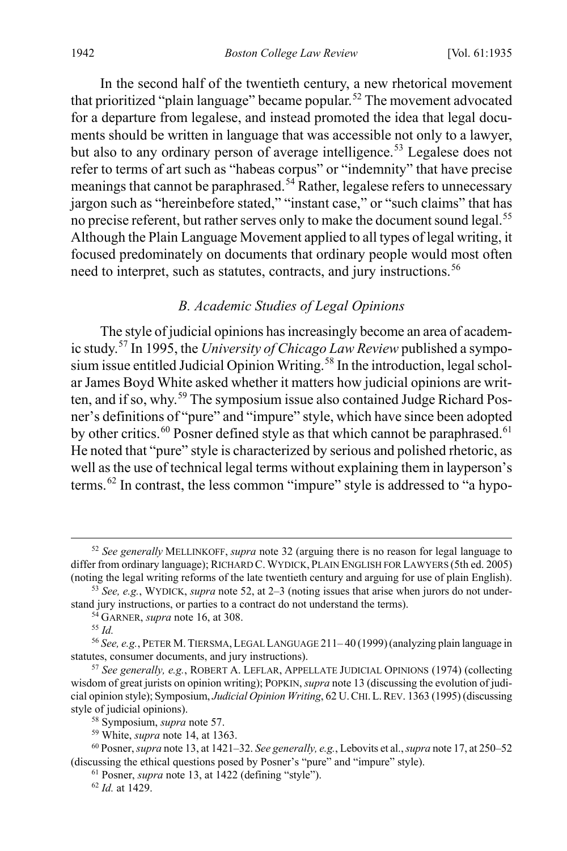In the second half of the twentieth century, a new rhetorical movement that prioritized "plain language" became popular.<sup>[52](#page-8-2)</sup> The movement advocated for a departure from legalese, and instead promoted the idea that legal documents should be written in language that was accessible not only to a lawyer, but also to any ordinary person of average intelligence.<sup>[53](#page-8-3)</sup> Legalese does not refer to terms of art such as "habeas corpus" or "indemnity" that have precise meanings that cannot be paraphrased.<sup>[54](#page-8-4)</sup> Rather, legalese refers to unnecessary jargon such as "hereinbefore stated," "instant case," or "such claims" that has no precise referent, but rather serves only to make the document sound legal.<sup>[55](#page-8-5)</sup> Although the Plain Language Movement applied to all types of legal writing, it focused predominately on documents that ordinary people would most often need to interpret, such as statutes, contracts, and jury instructions.<sup>[56](#page-8-6)</sup>

### <span id="page-8-13"></span><span id="page-8-0"></span>*B. Academic Studies of Legal Opinions*

<span id="page-8-1"></span>The style of judicial opinions has increasingly become an area of academic study.[57](#page-8-7) In 1995, the *University of Chicago Law Review* published a sympo-sium issue entitled Judicial Opinion Writing.<sup>[58](#page-8-8)</sup> In the introduction, legal scholar James Boyd White asked whether it matters how judicial opinions are writ-ten, and if so, why.<sup>[59](#page-8-9)</sup> The symposium issue also contained Judge Richard Posner's definitions of "pure" and "impure" style, which have since been adopted by other critics.<sup>[60](#page-8-10)</sup> Posner defined style as that which cannot be paraphrased.<sup>[61](#page-8-11)</sup> He noted that "pure" style is characterized by serious and polished rhetoric, as well as the use of technical legal terms without explaining them in layperson's terms.[62](#page-8-12) In contrast, the less common "impure" style is addressed to "a hypo-

<span id="page-8-2"></span> <sup>52</sup> *See generally* MELLINKOFF, *supra* not[e 32](#page-5-8) (arguing there is no reason for legal language to differ from ordinary language); RICHARD C. WYDICK, PLAIN ENGLISH FOR LAWYERS (5th ed. 2005) (noting the legal writing reforms of the late twentieth century and arguing for use of plain English).

<span id="page-8-3"></span><sup>53</sup> *See, e.g.*, WYDICK, *supra* not[e 52,](#page-8-0) at 2–3 (noting issues that arise when jurors do not understand jury instructions, or parties to a contract do not understand the terms).

<sup>54</sup> GARNER, *supra* not[e 16,](#page-3-7) at 308.

<sup>55</sup> *Id.*

<span id="page-8-6"></span><span id="page-8-5"></span><span id="page-8-4"></span><sup>56</sup> *See, e.g.*, PETER M. TIERSMA,LEGAL LANGUAGE 211– 40 (1999)(analyzing plain language in statutes, consumer documents, and jury instructions).

<span id="page-8-7"></span><sup>57</sup> *See generally, e.g.*, ROBERT A. LEFLAR, APPELLATE JUDICIAL OPINIONS (1974) (collecting wisdom of great jurists on opinion writing); POPKIN, *supra* not[e 13](#page-3-0) (discussing the evolution of judicial opinion style); Symposium, *Judicial Opinion Writing*, 62 U.CHI.L.REV. 1363 (1995) (discussing style of judicial opinions).<br><sup>58</sup> Symposium, *supra* note 57.

<sup>&</sup>lt;sup>59</sup> White, *supra* not[e 14,](#page-3-6) at 1363.

<span id="page-8-12"></span><span id="page-8-11"></span><span id="page-8-10"></span><span id="page-8-9"></span><span id="page-8-8"></span><sup>60</sup> Posner,*supra* not[e 13,](#page-3-0) at 1421–32. *See generally, e.g.*, Lebovits et al., *supra* note [17,](#page-4-10) at 250–52 (discussing the ethical questions posed by Posner's "pure" and "impure" style).

<sup>61</sup> Posner, *supra* not[e 13,](#page-3-0) at 1422 (defining "style").

<sup>62</sup> *Id.* at 1429.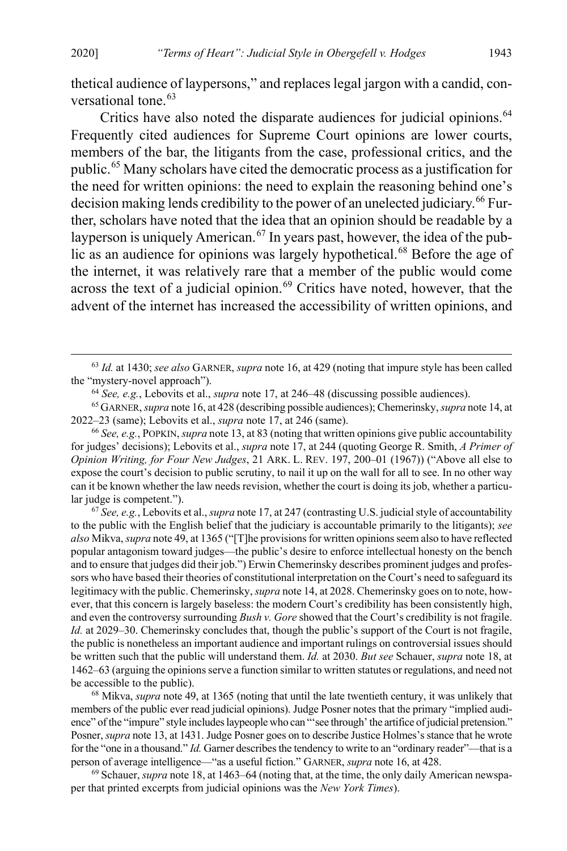<span id="page-9-7"></span>thetical audience of laypersons," and replaces legal jargon with a candid, con-versational tone.<sup>[63](#page-9-0)</sup>

Critics have also noted the disparate audiences for judicial opinions.<sup>[64](#page-9-1)</sup> Frequently cited audiences for Supreme Court opinions are lower courts, members of the bar, the litigants from the case, professional critics, and the public.[65](#page-9-2) Many scholars have cited the democratic process as a justification for the need for written opinions: the need to explain the reasoning behind one's decision making lends credibility to the power of an unelected judiciary.<sup>[66](#page-9-3)</sup> Further, scholars have noted that the idea that an opinion should be readable by a layperson is uniquely American.<sup>[67](#page-9-4)</sup> In years past, however, the idea of the pub-lic as an audience for opinions was largely hypothetical.<sup>[68](#page-9-5)</sup> Before the age of the internet, it was relatively rare that a member of the public would come across the text of a judicial opinion.<sup>[69](#page-9-6)</sup> Critics have noted, however, that the advent of the internet has increased the accessibility of written opinions, and

<span id="page-9-3"></span><sup>66</sup> *See, e.g.*, POPKIN, *supra* not[e 13,](#page-3-0) at 83 (noting that written opinions give public accountability for judges' decisions); Lebovits et al., *supra* not[e 17,](#page-4-10) at 244 (quoting George R. Smith, *A Primer of Opinion Writing, for Four New Judges*, 21 ARK. L. REV. 197, 200–01 (1967)) ("Above all else to expose the court's decision to public scrutiny, to nail it up on the wall for all to see. In no other way can it be known whether the law needs revision, whether the court is doing its job, whether a particular judge is competent."). 67 *See, e.g.*, Lebovits et al., *supra* not[e 17,](#page-4-10) at 247 (contrasting U.S. judicial style of accountability

<span id="page-9-4"></span>to the public with the English belief that the judiciary is accountable primarily to the litigants); *see also* Mikva, *supra* not[e 49,](#page-7-0) at 1365 ("[T]he provisions for written opinions seem also to have reflected popular antagonism toward judges—the public's desire to enforce intellectual honesty on the bench and to ensure that judges did their job.") Erwin Chemerinsky describes prominent judges and professors who have based their theories of constitutional interpretation on the Court's need to safeguard its legitimacy with the public. Chemerinsky, *supra* not[e 14,](#page-3-6) at 2028. Chemerinsky goes on to note, however, that this concern is largely baseless: the modern Court's credibility has been consistently high, and even the controversy surrounding *Bush v. Gore* showed that the Court's credibility is not fragile. *Id.* at 2029–30. Chemerinsky concludes that, though the public's support of the Court is not fragile, the public is nonetheless an important audience and important rulings on controversial issues should be written such that the public will understand them. *Id.* at 2030. *But see* Schauer, *supra* not[e 18,](#page-4-11) at 1462–63 (arguing the opinions serve a function similar to written statutes or regulations, and need not be accessible to the public).

<span id="page-9-5"></span><sup>68</sup> Mikva, *supra* note [49,](#page-7-0) at 1365 (noting that until the late twentieth century, it was unlikely that members of the public ever read judicial opinions). Judge Posner notes that the primary "implied audience" of the "impure" style includes laypeople who can "'see through' the artifice of judicial pretension." Posner, *supra* not[e 13,](#page-3-0) at 1431. Judge Posner goes on to describe Justice Holmes's stance that he wrote for the "one in a thousand." *Id.* Garner describes the tendency to write to an "ordinary reader"—that is a person of average intelligence—"as a useful fiction." GARNER, *supra* not[e 16,](#page-3-7) at 428.

<span id="page-9-6"></span>69 Schauer, *supra* not[e 18,](#page-4-11) at 1463–64 (noting that, at the time, the only daily American newspaper that printed excerpts from judicial opinions was the *New York Times*).

<span id="page-9-0"></span> <sup>63</sup> *Id.* at 1430; *see also* GARNER, *supra* not[e 16,](#page-3-7) at 429 (noting that impure style has been called the "mystery-novel approach").

<sup>64</sup> *See, e.g.*, Lebovits et al., *supra* note [17,](#page-4-10) at 246–48 (discussing possible audiences).

<span id="page-9-2"></span><span id="page-9-1"></span><sup>65</sup> GARNER, *supra* not[e 16,](#page-3-7) at 428 (describing possible audiences); Chemerinsky, *supra* not[e 14,](#page-3-6) at 2022–23 (same); Lebovits et al., *supra* not[e 17,](#page-4-10) at 246 (same).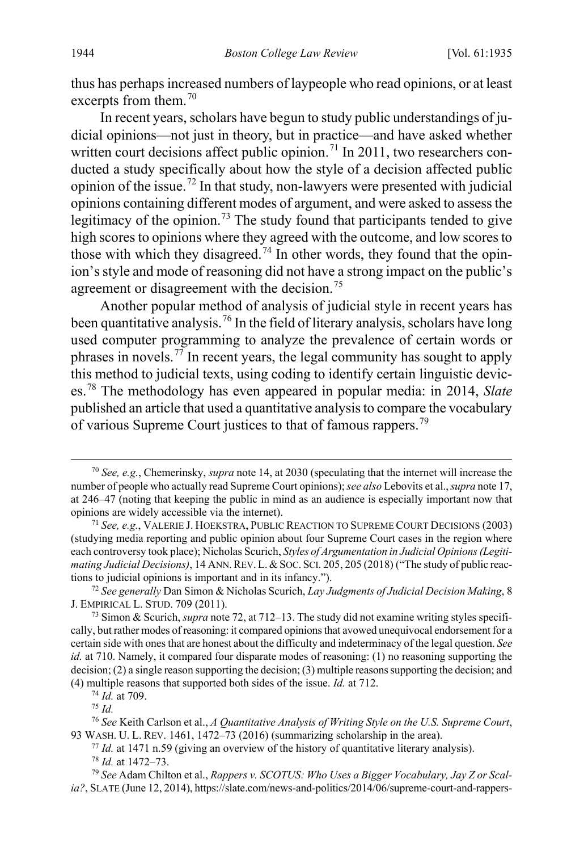thus has perhaps increased numbers of laypeople who read opinions, or at least excerpts from them.<sup>[70](#page-10-1)</sup>

<span id="page-10-11"></span><span id="page-10-0"></span>In recent years, scholars have begun to study public understandings of judicial opinions—not just in theory, but in practice—and have asked whether written court decisions affect public opinion.<sup>[71](#page-10-2)</sup> In 2011, two researchers conducted a study specifically about how the style of a decision affected public opinion of the issue.<sup>[72](#page-10-3)</sup> In that study, non-lawyers were presented with judicial opinions containing different modes of argument, and were asked to assess the legitimacy of the opinion.<sup>[73](#page-10-4)</sup> The study found that participants tended to give high scores to opinions where they agreed with the outcome, and low scores to those with which they disagreed.<sup>[74](#page-10-5)</sup> In other words, they found that the opinion's style and mode of reasoning did not have a strong impact on the public's agreement or disagreement with the decision.<sup>[75](#page-10-6)</sup>

Another popular method of analysis of judicial style in recent years has been quantitative analysis.[76](#page-10-7) In the field of literary analysis, scholars have long used computer programming to analyze the prevalence of certain words or phrases in novels.<sup>[77](#page-10-8)</sup> In recent years, the legal community has sought to apply this method to judicial texts, using coding to identify certain linguistic devices.[78](#page-10-9) The methodology has even appeared in popular media: in 2014, *Slate* published an article that used a quantitative analysis to compare the vocabulary of various Supreme Court justices to that of famous rappers.<sup>[79](#page-10-10)</sup>

<span id="page-10-1"></span> <sup>70</sup> *See, e.g.*, Chemerinsky, *supra* note [14,](#page-3-6) at 2030 (speculating that the internet will increase the number of people who actually read Supreme Court opinions); *see also* Lebovits et al., *supra* note [17,](#page-4-10) at 246–47 (noting that keeping the public in mind as an audience is especially important now that opinions are widely accessible via the internet).

<span id="page-10-2"></span><sup>71</sup> *See, e.g.*, VALERIE J. HOEKSTRA, PUBLIC REACTION TO SUPREME COURT DECISIONS (2003) (studying media reporting and public opinion about four Supreme Court cases in the region where each controversy took place); Nicholas Scurich, *Styles of Argumentation in Judicial Opinions (Legitimating Judicial Decisions*), 14 ANN. REV. L. & SOC. SCI. 205, 205 (2018) ("The study of public reactions to judicial opinions is important and in its infancy.").

<span id="page-10-3"></span><sup>72</sup> *See generally* Dan Simon & Nicholas Scurich, *Lay Judgments of Judicial Decision Making*, 8 J. EMPIRICAL L. STUD. 709 (2011).

<span id="page-10-4"></span><sup>73</sup> Simon & Scurich, *supra* not[e 72,](#page-10-0) at 712–13. The study did not examine writing styles specifically, but rather modes of reasoning: it compared opinions that avowed unequivocal endorsement for a certain side with ones that are honest about the difficulty and indeterminacy of the legal question. *See id.* at 710. Namely, it compared four disparate modes of reasoning: (1) no reasoning supporting the decision; (2) a single reason supporting the decision; (3) multiple reasons supporting the decision; and (4) multiple reasons that supported both sides of the issue. *Id.* at 712.

<sup>74</sup> *Id.* at 709.

<sup>75</sup> *Id.*

<span id="page-10-8"></span><span id="page-10-7"></span><span id="page-10-6"></span><span id="page-10-5"></span><sup>76</sup> *See* Keith Carlson et al., *A Quantitative Analysis of Writing Style on the U.S. Supreme Court*, 93 WASH. U. L. REV. 1461, 1472–73 (2016) (summarizing scholarship in the area).

<sup>77</sup> *Id.* at 1471 n.59 (giving an overview of the history of quantitative literary analysis).

<sup>78</sup> *Id.* at 1472–73.

<span id="page-10-10"></span><span id="page-10-9"></span><sup>79</sup> *See* Adam Chilton et al., *Rappers v. SCOTUS: Who Uses a Bigger Vocabulary, Jay Z or Scalia?*, SLATE (June 12, 2014), https://slate.com/news-and-politics/2014/06/supreme-court-and-rappers-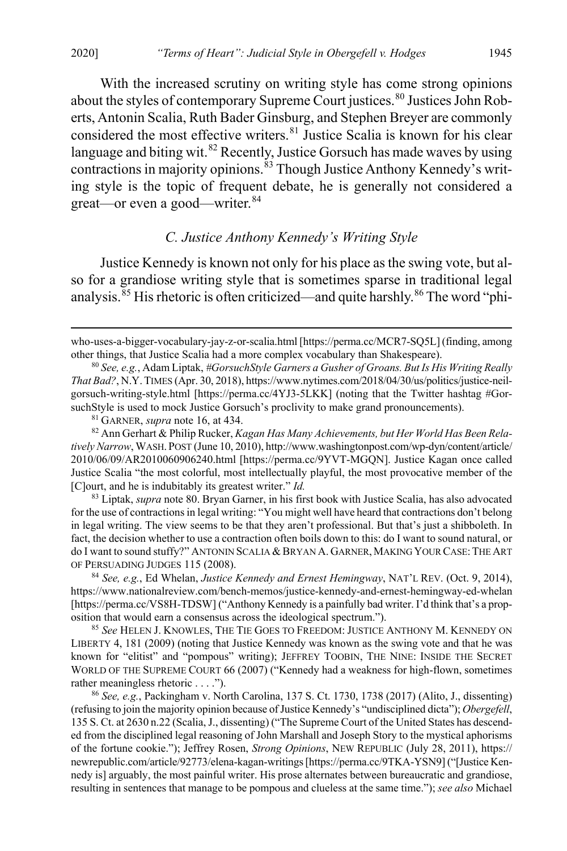With the increased scrutiny on writing style has come strong opinions about the styles of contemporary Supreme Court justices.<sup>[80](#page-11-1)</sup> Justices John Roberts, Antonin Scalia, Ruth Bader Ginsburg, and Stephen Breyer are commonly considered the most effective writers.<sup>[81](#page-11-2)</sup> Justice Scalia is known for his clear language and biting wit. $82$  Recently, Justice Gorsuch has made waves by using contractions in majority opinions.<sup>[83](#page-11-4)</sup> Though Justice Anthony Kennedy's writing style is the topic of frequent debate, he is generally not considered a great—or even a good—writer.<sup>[84](#page-11-5)</sup>

### <span id="page-11-8"></span><span id="page-11-0"></span>*C. Justice Anthony Kennedy's Writing Style*

<span id="page-11-9"></span>Justice Kennedy is known not only for his place as the swing vote, but also for a grandiose writing style that is sometimes sparse in traditional legal analysis.<sup>[85](#page-11-6)</sup> His rhetoric is often criticized—and quite harshly.<sup>[86](#page-11-7)</sup> The word "phi-

<sup>81</sup> GARNER, *supra* not[e 16,](#page-3-7) at 434.

 $\overline{a}$ 

<span id="page-11-3"></span><span id="page-11-2"></span><sup>82</sup> Ann Gerhart & Philip Rucker, *Kagan Has Many Achievements, but Her World Has Been Relatively Narrow*, WASH. POST (June 10, 2010), http://www.washingtonpost.com/wp-dyn/content/article/ 2010/06/09/AR2010060906240.html [https://perma.cc/9YVT-MGQN]. Justice Kagan once called Justice Scalia "the most colorful, most intellectually playful, the most provocative member of the [C]ourt, and he is indubitably its greatest writer." *Id.*

<span id="page-11-4"></span><sup>83</sup> Liptak, *supra* not[e 80.](#page-11-0) Bryan Garner, in his first book with Justice Scalia, has also advocated for the use of contractions in legal writing: "You might well have heard that contractions don't belong in legal writing. The view seems to be that they aren't professional. But that's just a shibboleth. In fact, the decision whether to use a contraction often boils down to this: do I want to sound natural, or do I want to sound stuffy?" ANTONIN SCALIA & BRYAN A. GARNER, MAKING YOUR CASE: THE ART OF PERSUADING JUDGES 115 (2008).

<span id="page-11-5"></span><sup>84</sup> *See, e.g.*, Ed Whelan, *Justice Kennedy and Ernest Hemingway*, NAT'L REV. (Oct. 9, 2014), https://www.nationalreview.com/bench-memos/justice-kennedy-and-ernest-hemingway-ed-whelan [https://perma.cc/VS8H-TDSW] ("Anthony Kennedy is a painfully bad writer. I'd think that's a proposition that would earn a consensus across the ideological spectrum.").

<span id="page-11-6"></span><sup>85</sup> *See* HELEN J. KNOWLES, THE TIE GOES TO FREEDOM: JUSTICE ANTHONY M. KENNEDY ON LIBERTY 4, 181 (2009) (noting that Justice Kennedy was known as the swing vote and that he was known for "elitist" and "pompous" writing); JEFFREY TOOBIN, THE NINE: INSIDE THE SECRET WORLD OF THE SUPREME COURT 66 (2007) ("Kennedy had a weakness for high-flown, sometimes rather meaningless rhetoric . . . .").

<span id="page-11-7"></span><sup>86</sup> *See, e.g.*, Packingham v. North Carolina, 137 S. Ct. 1730, 1738 (2017) (Alito, J., dissenting) (refusing to join the majority opinion because of Justice Kennedy's "undisciplined dicta"); *Obergefell*, 135 S. Ct. at 2630 n.22 (Scalia, J., dissenting) ("The Supreme Court of the United States has descended from the disciplined legal reasoning of John Marshall and Joseph Story to the mystical aphorisms of the fortune cookie."); Jeffrey Rosen, *Strong Opinions*, NEW REPUBLIC (July 28, 2011), https:// newrepublic.com/article/92773/elena-kagan-writings [https://perma.cc/9TKA-YSN9] ("[Justice Kennedy is] arguably, the most painful writer. His prose alternates between bureaucratic and grandiose, resulting in sentences that manage to be pompous and clueless at the same time."); *see also* Michael

who-uses-a-bigger-vocabulary-jay-z-or-scalia.html [https://perma.cc/MCR7-SQ5L] (finding, among other things, that Justice Scalia had a more complex vocabulary than Shakespeare).

<span id="page-11-1"></span><sup>80</sup> *See, e.g.*, Adam Liptak, *#GorsuchStyle Garners a Gusher of Groans. But Is His Writing Really That Bad?*, N.Y.TIMES (Apr. 30, 2018), https://www.nytimes.com/2018/04/30/us/politics/justice-neilgorsuch-writing-style.html [https://perma.cc/4YJ3-5LKK] (noting that the Twitter hashtag #GorsuchStyle is used to mock Justice Gorsuch's proclivity to make grand pronouncements).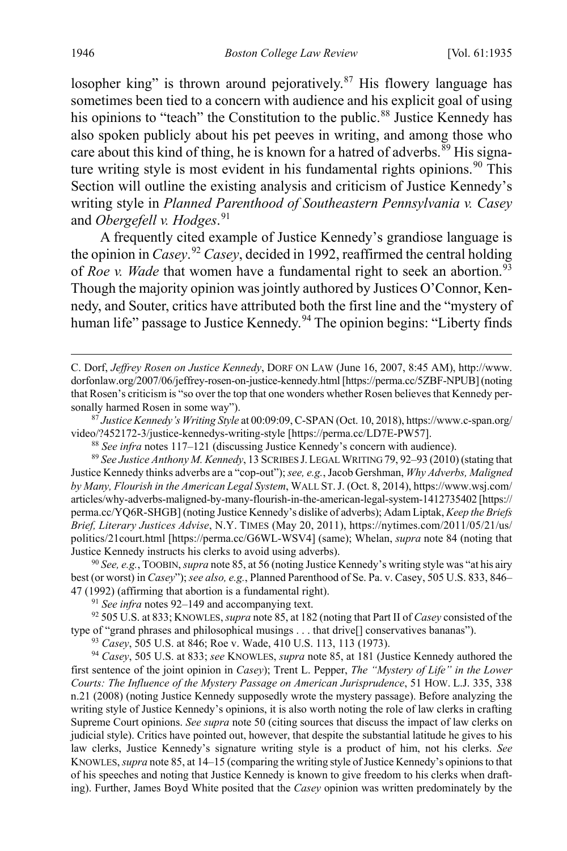<span id="page-12-11"></span><span id="page-12-9"></span>losopher king" is thrown around pejoratively. $87$  His flowery language has sometimes been tied to a concern with audience and his explicit goal of using his opinions to "teach" the Constitution to the public.<sup>[88](#page-12-2)</sup> Justice Kennedy has also spoken publicly about his pet peeves in writing, and among those who care about this kind of thing, he is known for a hatred of adverbs.<sup>[89](#page-12-3)</sup> His signa-ture writing style is most evident in his fundamental rights opinions.<sup>[90](#page-12-4)</sup> This Section will outline the existing analysis and criticism of Justice Kennedy's writing style in *Planned Parenthood of Southeastern Pennsylvania v. Casey* and *Obergefell v. Hodges*. [91](#page-12-5)

<span id="page-12-0"></span>A frequently cited example of Justice Kennedy's grandiose language is the opinion in *Casey*. [92](#page-12-6) *Casey*, decided in 1992, reaffirmed the central holding of *Roe v. Wade* that women have a fundamental right to seek an abortion.<sup>[93](#page-12-7)</sup> Though the majority opinion was jointly authored by Justices O'Connor, Kennedy, and Souter, critics have attributed both the first line and the "mystery of human life" passage to Justice Kennedy.<sup>[94](#page-12-8)</sup> The opinion begins: "Liberty finds

<span id="page-12-1"></span><sup>87</sup> *Justice Kennedy's Writing Style* at 00:09:09, C-SPAN (Oct. 10, 2018), https://www.c-span.org/

<sup>88</sup> See infra note[s 117](#page-15-0)[–121](#page-16-0) (discussing Justice Kennedy's concern with audience).

<span id="page-12-3"></span><span id="page-12-2"></span><sup>89</sup> *See Justice Anthony M. Kennedy*, 13 SCRIBES J.LEGAL WRITING 79, 92–93 (2010) (stating that Justice Kennedy thinks adverbs are a "cop-out"); *see, e.g.*, Jacob Gershman, *Why Adverbs, Maligned by Many, Flourish in the American Legal System*, WALL ST.J. (Oct. 8, 2014), https://www.wsj.com/ articles/why-adverbs-maligned-by-many-flourish-in-the-american-legal-system-1412735402 [https:// perma.cc/YQ6R-SHGB] (noting Justice Kennedy's dislike of adverbs); Adam Liptak, *Keep the Briefs Brief, Literary Justices Advise*, N.Y. TIMES (May 20, 2011), https://nytimes.com/2011/05/21/us/ politics/21court.html [https://perma.cc/G6WL-WSV4] (same); Whelan, *supra* note [84](#page-11-8) (noting that Justice Kennedy instructs his clerks to avoid using adverbs).

<span id="page-12-4"></span><sup>90</sup> *See, e.g.*, TOOBIN, *supra* not[e 85,](#page-11-9) at 56 (noting Justice Kennedy's writing style was "at his airy best (or worst) in *Casey*"); *see also, e.g.*, Planned Parenthood of Se. Pa. v. Casey, 505 U.S. 833, 846– 47 (1992) (affirming that abortion is a fundamental right).

<sup>91</sup> *See infra* note[s 92–](#page-12-0)[149](#page-20-0) and accompanying text.

<span id="page-12-6"></span><span id="page-12-5"></span><sup>92</sup> 505 U.S. at 833; KNOWLES, *supra* not[e 85,](#page-11-9) at 182 (noting that Part II of *Casey* consisted of the type of "grand phrases and philosophical musings . . . that drive[] conservatives bananas").

<sup>93</sup> *Casey*, 505 U.S. at 846; Roe v. Wade, 410 U.S. 113, 113 (1973).

<span id="page-12-8"></span><span id="page-12-7"></span><sup>94</sup> *Casey*, 505 U.S. at 833; *see* KNOWLES, *supra* not[e 85,](#page-11-9) at 181 (Justice Kennedy authored the first sentence of the joint opinion in *Casey*); Trent L. Pepper, *The "Mystery of Life" in the Lower Courts: The Influence of the Mystery Passage on American Jurisprudence*, 51 HOW. L.J. 335, 338 n.21 (2008) (noting Justice Kennedy supposedly wrote the mystery passage). Before analyzing the writing style of Justice Kennedy's opinions, it is also worth noting the role of law clerks in crafting Supreme Court opinions. *See supra* not[e 50](#page-7-7) (citing sources that discuss the impact of law clerks on judicial style). Critics have pointed out, however, that despite the substantial latitude he gives to his law clerks, Justice Kennedy's signature writing style is a product of him, not his clerks. *See* KNOWLES, *supra* not[e 85,](#page-11-9) at 14–15 (comparing the writing style of Justice Kennedy's opinions to that of his speeches and noting that Justice Kennedy is known to give freedom to his clerks when drafting). Further, James Boyd White posited that the *Casey* opinion was written predominately by the

<span id="page-12-10"></span> $\overline{a}$ 

C. Dorf, *Jeffrey Rosen on Justice Kennedy*, DORF ON LAW (June 16, 2007, 8:45 AM), http://www. dorfonlaw.org/2007/06/jeffrey-rosen-on-justice-kennedy.html [https://perma.cc/5ZBF-NPUB] (noting that Rosen's criticism is "so over the top that one wonders whether Rosen believes that Kennedy personally harmed Rosen in some way").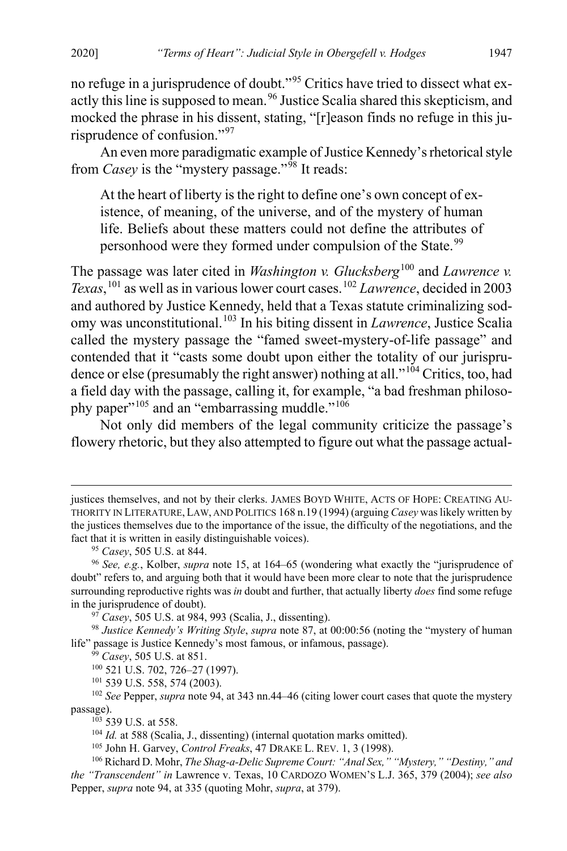no refuge in a jurisprudence of doubt."[95](#page-13-0) Critics have tried to dissect what ex-actly this line is supposed to mean.<sup>[96](#page-13-1)</sup> Justice Scalia shared this skepticism, and mocked the phrase in his dissent, stating, "[r]eason finds no refuge in this ju-risprudence of confusion."<sup>[97](#page-13-2)</sup>

An even more paradigmatic example of Justice Kennedy's rhetorical style from *Casey* is the "mystery passage."<sup>[98](#page-13-3)</sup> It reads:

At the heart of liberty is the right to define one's own concept of existence, of meaning, of the universe, and of the mystery of human life. Beliefs about these matters could not define the attributes of personhood were they formed under compulsion of the State.<sup>[99](#page-13-4)</sup>

The passage was later cited in *Washington v. Glucksberg*<sup>[100](#page-13-5)</sup> and *Lawrence v. Texas*, [101](#page-13-6) as well as in various lower court cases.[102](#page-13-7) *Lawrence*, decided in 2003 and authored by Justice Kennedy, held that a Texas statute criminalizing sodomy was unconstitutional.[103](#page-13-8) In his biting dissent in *Lawrence*, Justice Scalia called the mystery passage the "famed sweet-mystery-of-life passage" and contended that it "casts some doubt upon either the totality of our jurispru-dence or else (presumably the right answer) nothing at all."<sup>[104](#page-13-9)</sup> Critics, too, had a field day with the passage, calling it, for example, "a bad freshman philoso-phy paper"<sup>[105](#page-13-10)</sup> and an "embarrassing muddle."<sup>[106](#page-13-11)</sup>

Not only did members of the legal community criticize the passage's flowery rhetoric, but they also attempted to figure out what the passage actual-

 $\overline{a}$ 

<sup>105</sup> John H. Garvey, *Control Freaks*, 47 DRAKE L. REV. 1, 3 (1998).

justices themselves, and not by their clerks. JAMES BOYD WHITE, ACTS OF HOPE: CREATING AU-THORITY IN LITERATURE, LAW, AND POLITICS 168 n.19 (1994) (arguing *Casey* was likely written by the justices themselves due to the importance of the issue, the difficulty of the negotiations, and the fact that it is written in easily distinguishable voices).

<span id="page-13-1"></span><span id="page-13-0"></span><sup>95</sup> *Casey*, 505 U.S. at 844. 96 *See, e.g.*, Kolber, *supra* note [15,](#page-3-8) at 164–65 (wondering what exactly the "jurisprudence of doubt" refers to, and arguing both that it would have been more clear to note that the jurisprudence surrounding reproductive rights was *in* doubt and further, that actually liberty *does* find some refuge in the jurisprudence of doubt).

<sup>97</sup> *Casey*, 505 U.S. at 984, 993 (Scalia, J., dissenting).

<span id="page-13-4"></span><span id="page-13-3"></span><span id="page-13-2"></span><sup>98</sup> *Justice Kennedy's Writing Style*, *supra* note [87,](#page-12-9) at 00:00:56 (noting the "mystery of human life" passage is Justice Kennedy's most famous, or infamous, passage).

<sup>99</sup> *Casey*, 505 U.S. at 851.

<sup>100</sup> 521 U.S. 702, 726–27 (1997).

<sup>101</sup> 539 U.S. 558, 574 (2003).

<span id="page-13-8"></span><span id="page-13-7"></span><span id="page-13-6"></span><span id="page-13-5"></span><sup>&</sup>lt;sup>102</sup> See Pepper, *supra* note [94,](#page-12-10) at 343 nn.44–46 (citing lower court cases that quote the mystery passage).<br><sup>103</sup> 539 U.S. at 558.

<sup>&</sup>lt;sup>104</sup> *Id.* at 588 (Scalia, J., dissenting) (internal quotation marks omitted).

<span id="page-13-11"></span><span id="page-13-10"></span><span id="page-13-9"></span><sup>106</sup> Richard D. Mohr, *The Shag-a-Delic Supreme Court: "Anal Sex," "Mystery," "Destiny," and the "Transcendent" in* Lawrence v. Texas, 10 CARDOZO WOMEN'S L.J. 365, 379 (2004); *see also* Pepper, *supra* note [94,](#page-12-10) at 335 (quoting Mohr, *supra*, at 379).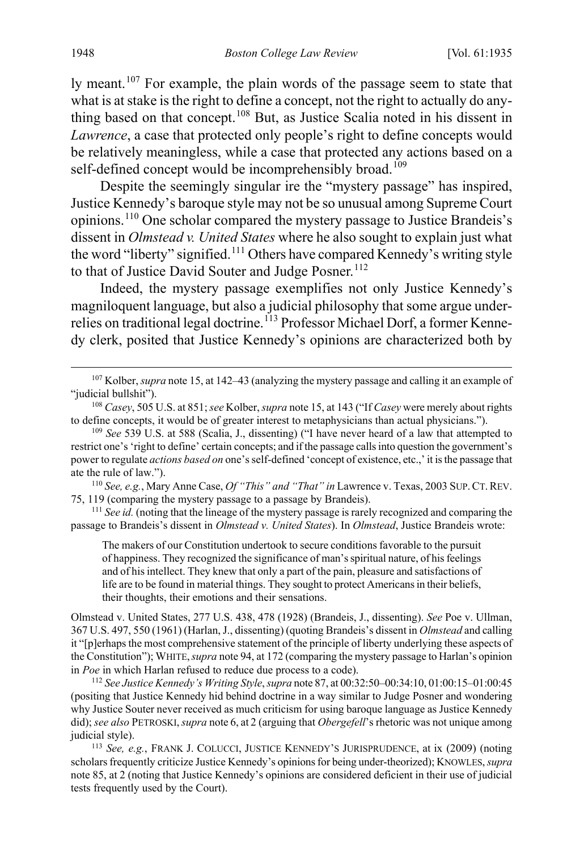ly meant.<sup>[107](#page-14-0)</sup> For example, the plain words of the passage seem to state that what is at stake is the right to define a concept, not the right to actually do any-thing based on that concept.<sup>[108](#page-14-1)</sup> But, as Justice Scalia noted in his dissent in *Lawrence*, a case that protected only people's right to define concepts would be relatively meaningless, while a case that protected any actions based on a self-defined concept would be incomprehensibly broad.<sup>[109](#page-14-2)</sup>

Despite the seemingly singular ire the "mystery passage" has inspired, Justice Kennedy's baroque style may not be so unusual among Supreme Court opinions.[110](#page-14-3) One scholar compared the mystery passage to Justice Brandeis's dissent in *Olmstead v. United States* where he also sought to explain just what the word "liberty" signified.<sup>[111](#page-14-4)</sup> Others have compared Kennedy's writing style to that of Justice David Souter and Judge Posner.<sup>[112](#page-14-5)</sup>

<span id="page-14-7"></span>Indeed, the mystery passage exemplifies not only Justice Kennedy's magniloquent language, but also a judicial philosophy that some argue under-relies on traditional legal doctrine.<sup>[113](#page-14-6)</sup> Professor Michael Dorf, a former Kennedy clerk, posited that Justice Kennedy's opinions are characterized both by

<span id="page-14-3"></span><sup>110</sup> *See, e.g.*, Mary Anne Case, *Of "This" and "That" in* Lawrence v. Texas, 2003 SUP.CT.REV. 75, 119 (comparing the mystery passage to a passage by Brandeis).

<span id="page-14-4"></span><sup>111</sup> *See id.* (noting that the lineage of the mystery passage is rarely recognized and comparing the passage to Brandeis's dissent in *Olmstead v. United States*). In *Olmstead*, Justice Brandeis wrote:

The makers of our Constitution undertook to secure conditions favorable to the pursuit of happiness. They recognized the significance of man's spiritual nature, of his feelings and of his intellect. They knew that only a part of the pain, pleasure and satisfactions of life are to be found in material things. They sought to protect Americans in their beliefs, their thoughts, their emotions and their sensations.

Olmstead v. United States, 277 U.S. 438, 478 (1928) (Brandeis, J., dissenting). *See* Poe v. Ullman, 367 U.S. 497, 550 (1961) (Harlan, J., dissenting) (quoting Brandeis's dissent in *Olmstead* and calling it "[p]erhaps the most comprehensive statement of the principle of liberty underlying these aspects of the Constitution"); WHITE,*supra* not[e 94,](#page-12-10) at 172 (comparing the mystery passage to Harlan's opinion in *Poe* in which Harlan refused to reduce due process to a code).

<span id="page-14-5"></span><sup>112</sup> *See Justice Kennedy's Writing Style*, *supra* not[e 87,](#page-12-9) at 00:32:50–00:34:10, 01:00:15–01:00:45 (positing that Justice Kennedy hid behind doctrine in a way similar to Judge Posner and wondering why Justice Souter never received as much criticism for using baroque language as Justice Kennedy did); *see also* PETROSKI,*supra* note [6,](#page-2-8) at 2 (arguing that *Obergefell*'s rhetoric was not unique among judicial style).

<span id="page-14-6"></span><sup>113</sup> *See, e.g.*, FRANK J. COLUCCI, JUSTICE KENNEDY'S JURISPRUDENCE, at ix (2009) (noting scholars frequently criticize Justice Kennedy's opinions for being under-theorized); KNOWLES, *supra* not[e 85,](#page-11-9) at 2 (noting that Justice Kennedy's opinions are considered deficient in their use of judicial tests frequently used by the Court).

<span id="page-14-0"></span> <sup>107</sup> Kolber, *supra* not[e 15,](#page-3-8) at 142–43 (analyzing the mystery passage and calling it an example of "judicial bullshit").

<span id="page-14-1"></span><sup>108</sup> *Casey*, 505 U.S. at 851; *see* Kolber, *supra* not[e 15,](#page-3-8) at 143 ("If *Casey* were merely about rights to define concepts, it would be of greater interest to metaphysicians than actual physicians.").

<span id="page-14-2"></span><sup>109</sup> *See* 539 U.S. at 588 (Scalia, J., dissenting) ("I have never heard of a law that attempted to restrict one's 'right to define' certain concepts; and if the passage calls into question the government's power to regulate *actions based on* one's self-defined 'concept of existence, etc.,' it is the passage that ate the rule of law.").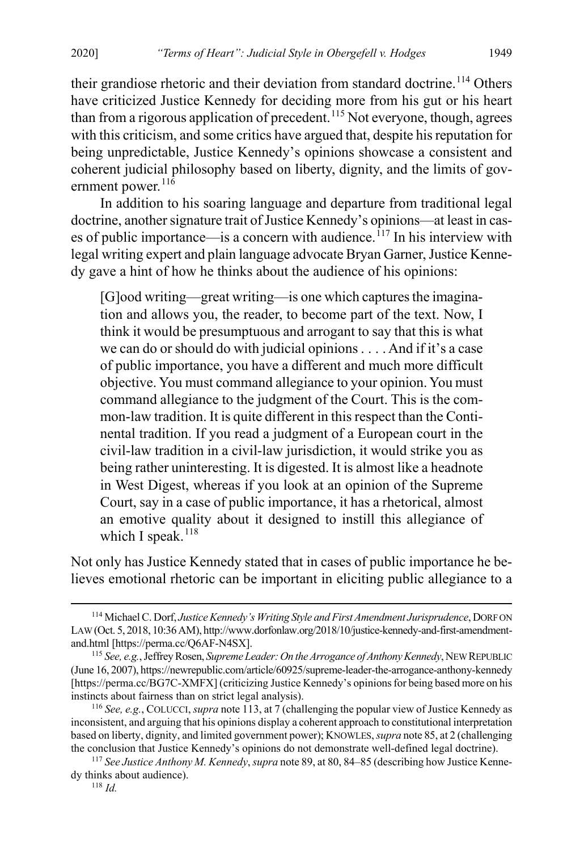<span id="page-15-8"></span><span id="page-15-6"></span>their grandiose rhetoric and their deviation from standard doctrine.<sup>[114](#page-15-1)</sup> Others have criticized Justice Kennedy for deciding more from his gut or his heart than from a rigorous application of precedent.<sup>[115](#page-15-2)</sup> Not everyone, though, agrees with this criticism, and some critics have argued that, despite his reputation for being unpredictable, Justice Kennedy's opinions showcase a consistent and coherent judicial philosophy based on liberty, dignity, and the limits of gov-ernment power.<sup>[116](#page-15-3)</sup>

In addition to his soaring language and departure from traditional legal doctrine, another signature trait of Justice Kennedy's opinions—at least in cases of public importance—is a concern with audience.  $^{117}$  $^{117}$  $^{117}$  In his interview with legal writing expert and plain language advocate Bryan Garner, Justice Kennedy gave a hint of how he thinks about the audience of his opinions:

<span id="page-15-0"></span>[G]ood writing—great writing—is one which captures the imagination and allows you, the reader, to become part of the text. Now, I think it would be presumptuous and arrogant to say that this is what we can do or should do with judicial opinions . . . . And if it's a case of public importance, you have a different and much more difficult objective. You must command allegiance to your opinion. You must command allegiance to the judgment of the Court. This is the common-law tradition. It is quite different in this respect than the Continental tradition. If you read a judgment of a European court in the civil-law tradition in a civil-law jurisdiction, it would strike you as being rather uninteresting. It is digested. It is almost like a headnote in West Digest, whereas if you look at an opinion of the Supreme Court, say in a case of public importance, it has a rhetorical, almost an emotive quality about it designed to instill this allegiance of which I speak. $118$ 

<span id="page-15-7"></span>Not only has Justice Kennedy stated that in cases of public importance he believes emotional rhetoric can be important in eliciting public allegiance to a

<span id="page-15-1"></span> <sup>114</sup> Michael C. Dorf, *Justice Kennedy's Writing Style and First Amendment Jurisprudence*, DORF ON LAW (Oct. 5, 2018, 10:36 AM), http://www.dorfonlaw.org/2018/10/justice-kennedy-and-first-amendmentand.html [https://perma.cc/Q6AF-N4SX].

<span id="page-15-2"></span><sup>115</sup> *See, e.g.*, Jeffrey Rosen, *Supreme Leader: On the Arrogance of Anthony Kennedy*, NEW REPUBLIC (June 16, 2007), https://newrepublic.com/article/60925/supreme-leader-the-arrogance-anthony-kennedy [https://perma.cc/BG7C-XMFX] (criticizing Justice Kennedy's opinions for being based more on his instincts about fairness than on strict legal analysis). 116 *See, e.g.*, COLUCCI, *supra* not[e 113,](#page-14-7) at 7 (challenging the popular view of Justice Kennedy as

<span id="page-15-3"></span>inconsistent, and arguing that his opinions display a coherent approach to constitutional interpretation based on liberty, dignity, and limited government power); KNOWLES, *supra* not[e 85,](#page-11-9) at 2 (challenging the conclusion that Justice Kennedy's opinions do not demonstrate well-defined legal doctrine).

<span id="page-15-5"></span><span id="page-15-4"></span><sup>117</sup> *See Justice Anthony M. Kennedy*, *supra* not[e 89,](#page-12-11) at 80, 84–85 (describing how Justice Kennedy thinks about audience).

<sup>118</sup> *Id.*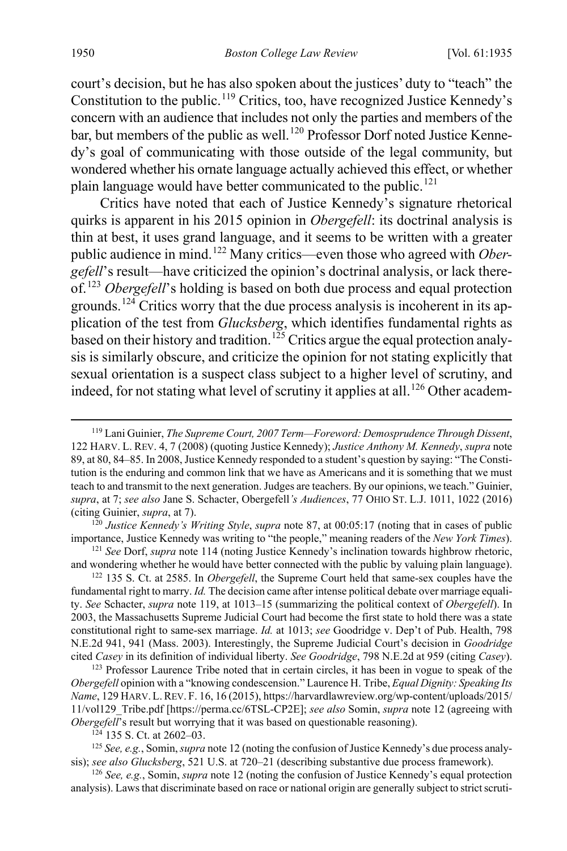<span id="page-16-1"></span>court's decision, but he has also spoken about the justices' duty to "teach" the Constitution to the public.<sup>[119](#page-16-2)</sup> Critics, too, have recognized Justice Kennedy's concern with an audience that includes not only the parties and members of the bar, but members of the public as well.<sup>[120](#page-16-3)</sup> Professor Dorf noted Justice Kennedy's goal of communicating with those outside of the legal community, but wondered whether his ornate language actually achieved this effect, or whether plain language would have better communicated to the public.<sup>[121](#page-16-4)</sup>

<span id="page-16-10"></span><span id="page-16-0"></span>Critics have noted that each of Justice Kennedy's signature rhetorical quirks is apparent in his 2015 opinion in *Obergefell*: its doctrinal analysis is thin at best, it uses grand language, and it seems to be written with a greater public audience in mind.[122](#page-16-5) Many critics—even those who agreed with *Obergefell*'s result—have criticized the opinion's doctrinal analysis, or lack there-of.<sup>[123](#page-16-6)</sup> *Obergefell*'s holding is based on both due process and equal protection grounds.<sup>[124](#page-16-7)</sup> Critics worry that the due process analysis is incoherent in its application of the test from *Glucksberg*, which identifies fundamental rights as based on their history and tradition.<sup>[125](#page-16-8)</sup> Critics argue the equal protection analysis is similarly obscure, and criticize the opinion for not stating explicitly that sexual orientation is a suspect class subject to a higher level of scrutiny, and indeed, for not stating what level of scrutiny it applies at all.<sup>[126](#page-16-9)</sup> Other academ-

<span id="page-16-3"></span>importance, Justice Kennedy was writing to "the people," meaning readers of the *New York Times*).

<span id="page-16-4"></span><sup>121</sup> *See* Dorf, *supra* note [114](#page-15-6) (noting Justice Kennedy's inclination towards highbrow rhetoric, and wondering whether he would have better connected with the public by valuing plain language).

<span id="page-16-5"></span><sup>122</sup> 135 S. Ct. at 2585. In *Obergefell*, the Supreme Court held that same-sex couples have the fundamental right to marry. *Id.* The decision came after intense political debate over marriage equality. *See* Schacter, *supra* note [119,](#page-16-1) at 1013–15 (summarizing the political context of *Obergefell*). In 2003, the Massachusetts Supreme Judicial Court had become the first state to hold there was a state constitutional right to same-sex marriage. *Id.* at 1013; *see* Goodridge v. Dep't of Pub. Health, 798 N.E.2d 941, 941 (Mass. 2003). Interestingly, the Supreme Judicial Court's decision in *Goodridge*  cited *Casey* in its definition of individual liberty. *See Goodridge*, 798 N.E.2d at 959 (citing *Casey*).

<span id="page-16-6"></span><sup>123</sup> Professor Laurence Tribe noted that in certain circles, it has been in vogue to speak of the *Obergefell* opinion with a "knowing condescension." Laurence H. Tribe, *Equal Dignity: Speaking Its Name*, 129 HARV.L.REV. F. 16, 16 (2015), https://harvardlawreview.org/wp-content/uploads/2015/ 11/vol129\_Tribe.pdf [https://perma.cc/6TSL-CP2E]; *see also* Somin, *supra* not[e 12](#page-3-9) (agreeing with *Obergefell*'s result but worrying that it was based on questionable reasoning).

<span id="page-16-8"></span><span id="page-16-7"></span><sup>125</sup> See, e.g., Somin, *supra* not[e 12](#page-3-9) (noting the confusion of Justice Kennedy's due process analysis); *see also Glucksberg*, 521 U.S. at 720–21 (describing substantive due process framework).

<span id="page-16-9"></span><sup>126</sup> *See, e.g.*, Somin, *supra* not[e 12](#page-3-9) (noting the confusion of Justice Kennedy's equal protection analysis). Laws that discriminate based on race or national origin are generally subject to strict scruti-

<span id="page-16-2"></span> <sup>119</sup> Lani Guinier, *The Supreme Court, 2007 Term—Foreword: Demosprudence Through Dissent*, 122 HARV. L. REV. 4, 7 (2008) (quoting Justice Kennedy); *Justice Anthony M. Kennedy*, *supra* note [89,](#page-12-11) at 80, 84–85. In 2008, Justice Kennedy responded to a student's question by saying: "The Constitution is the enduring and common link that we have as Americans and it is something that we must teach to and transmit to the next generation. Judges are teachers. By our opinions, we teach." Guinier, *supra*, at 7; *see also* Jane S. Schacter, Obergefell*'s Audiences*, 77 OHIO ST. L.J. 1011, 1022 (2016) (citing Guinier, *supra*, at 7). 120 *Justice Kennedy's Writing Style*, *supra* not[e 87,](#page-12-9) at 00:05:17 (noting that in cases of public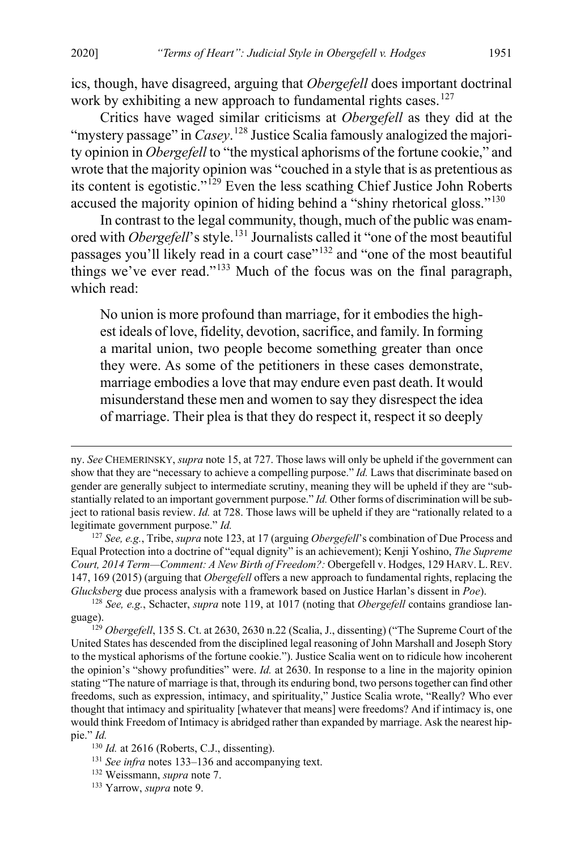<span id="page-17-8"></span>ics, though, have disagreed, arguing that *Obergefell* does important doctrinal work by exhibiting a new approach to fundamental rights cases.<sup>[127](#page-17-1)</sup>

Critics have waged similar criticisms at *Obergefell* as they did at the "mystery passage" in *Casey*. [128](#page-17-2) Justice Scalia famously analogized the majority opinion in *Obergefell* to "the mystical aphorisms of the fortune cookie," and wrote that the majority opinion was "couched in a style that is as pretentious as its content is egotistic."[129](#page-17-3) Even the less scathing Chief Justice John Roberts accused the majority opinion of hiding behind a "shiny rhetorical gloss."<sup>[130](#page-17-4)</sup>

In contrast to the legal community, though, much of the public was enamored with *Obergefell*'s style.<sup>[131](#page-17-5)</sup> Journalists called it "one of the most beautiful passages you'll likely read in a court case"<sup>[132](#page-17-6)</sup> and "one of the most beautiful things we've ever read."[133](#page-17-7) Much of the focus was on the final paragraph, which read:

<span id="page-17-0"></span>No union is more profound than marriage, for it embodies the highest ideals of love, fidelity, devotion, sacrifice, and family. In forming a marital union, two people become something greater than once they were. As some of the petitioners in these cases demonstrate, marriage embodies a love that may endure even past death. It would misunderstand these men and women to say they disrespect the idea of marriage. Their plea is that they do respect it, respect it so deeply

 $\overline{a}$ 

ny. *See* CHEMERINSKY, *supra* not[e 15,](#page-3-8) at 727. Those laws will only be upheld if the government can show that they are "necessary to achieve a compelling purpose." *Id.* Laws that discriminate based on gender are generally subject to intermediate scrutiny, meaning they will be upheld if they are "substantially related to an important government purpose." *Id.* Other forms of discrimination will be subject to rational basis review. *Id.* at 728. Those laws will be upheld if they are "rationally related to a legitimate government purpose." *Id.*

<span id="page-17-1"></span><sup>127</sup> *See, e.g.*, Tribe, *supra* not[e 123,](#page-16-10) at 17 (arguing *Obergefell*'s combination of Due Process and Equal Protection into a doctrine of "equal dignity" is an achievement); Kenji Yoshino, *The Supreme Court, 2014 Term—Comment: A New Birth of Freedom?:* Obergefell v. Hodges, 129 HARV. L.REV. 147, 169 (2015) (arguing that *Obergefell* offers a new approach to fundamental rights, replacing the *Glucksberg* due process analysis with a framework based on Justice Harlan's dissent in *Poe*).

<span id="page-17-2"></span><sup>128</sup> *See, e.g.*, Schacter, *supra* not[e 119,](#page-16-1) at 1017 (noting that *Obergefell* contains grandiose language). 129 *Obergefell*, 135 S. Ct. at 2630, 2630 n.22 (Scalia, J., dissenting) ("The Supreme Court of the

<span id="page-17-3"></span>United States has descended from the disciplined legal reasoning of John Marshall and Joseph Story to the mystical aphorisms of the fortune cookie."). Justice Scalia went on to ridicule how incoherent the opinion's "showy profundities" were. *Id.* at 2630. In response to a line in the majority opinion stating "The nature of marriage is that, through its enduring bond, two persons together can find other freedoms, such as expression, intimacy, and spirituality," Justice Scalia wrote, "Really? Who ever thought that intimacy and spirituality [whatever that means] were freedoms? And if intimacy is, one would think Freedom of Intimacy is abridged rather than expanded by marriage. Ask the nearest hippie." *Id.*

<span id="page-17-4"></span><sup>&</sup>lt;sup>130</sup> *Id.* at 2616 (Roberts, C.J., dissenting).

<span id="page-17-5"></span><sup>131</sup> *See infra* notes [133–](#page-17-0)[136](#page-18-0) and accompanying text.

<span id="page-17-7"></span><span id="page-17-6"></span><sup>132</sup> Weissmann, *supra* not[e 7.](#page-2-9) 133 Yarrow, *supra* not[e 9.](#page-2-10)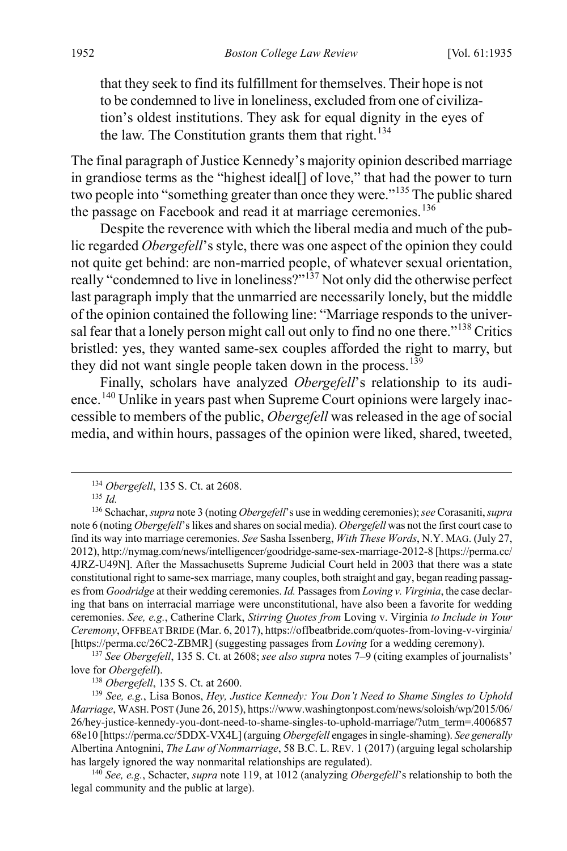<span id="page-18-0"></span>that they seek to find its fulfillment for themselves. Their hope is not to be condemned to live in loneliness, excluded from one of civilization's oldest institutions. They ask for equal dignity in the eyes of the law. The Constitution grants them that right. $134$ 

The final paragraph of Justice Kennedy's majority opinion described marriage in grandiose terms as the "highest ideal[] of love," that had the power to turn two people into "something greater than once they were."[135](#page-18-2) The public shared the passage on Facebook and read it at marriage ceremonies.<sup>[136](#page-18-3)</sup>

Despite the reverence with which the liberal media and much of the public regarded *Obergefell*'s style, there was one aspect of the opinion they could not quite get behind: are non-married people, of whatever sexual orientation, really "condemned to live in loneliness?"<sup>[137](#page-18-4)</sup> Not only did the otherwise perfect last paragraph imply that the unmarried are necessarily lonely, but the middle of the opinion contained the following line: "Marriage responds to the universal fear that a lonely person might call out only to find no one there."[138](#page-18-5) Critics bristled: yes, they wanted same-sex couples afforded the right to marry, but they did not want single people taken down in the process.<sup>[139](#page-18-6)</sup>

Finally, scholars have analyzed *Obergefell*'s relationship to its audi-ence.<sup>[140](#page-18-7)</sup> Unlike in years past when Supreme Court opinions were largely inaccessible to members of the public, *Obergefell* was released in the age of social media, and within hours, passages of the opinion were liked, shared, tweeted,

<span id="page-18-4"></span><sup>137</sup> *See Obergefell*, 135 S. Ct. at 2608; *see also supra* notes [7](#page-2-9)[–9](#page-2-10) (citing examples of journalists' love for *Obergefell*).<br><sup>138</sup> *Obergefell*, 135 S. Ct. at 2600.

<span id="page-18-6"></span><span id="page-18-5"></span><sup>139</sup> See, e.g., Lisa Bonos, *Hey, Justice Kennedy: You Don't Need to Shame Singles to Uphold Marriage*, WASH.POST (June 26, 2015), https://www.washingtonpost.com/news/soloish/wp/2015/06/ 26/hey-justice-kennedy-you-dont-need-to-shame-singles-to-uphold-marriage/?utm\_term=.4006857 68e10 [https://perma.cc/5DDX-VX4L] (arguing *Obergefell* engages in single-shaming). *See generally* Albertina Antognini, *The Law of Nonmarriage*, 58 B.C. L. REV. 1 (2017) (arguing legal scholarship has largely ignored the way nonmarital relationships are regulated). 140 *See, e.g.*, Schacter, *supra* not[e 119,](#page-16-1) at 1012 (analyzing *Obergefell*'s relationship to both the

<span id="page-18-7"></span>legal community and the public at large).

 <sup>134</sup> *Obergefell*, 135 S. Ct. at 2608.

<sup>135</sup> *Id.*

<span id="page-18-3"></span><span id="page-18-2"></span><span id="page-18-1"></span><sup>136</sup> Schachar, *supra* not[e 3](#page-1-4) (noting *Obergefell*'s use in wedding ceremonies); *see* Corasaniti, *supra* not[e 6 \(](#page-2-8)noting *Obergefell*'s likes and shares on social media). *Obergefell* was not the first court case to find its way into marriage ceremonies. *See* Sasha Issenberg, *With These Words*, N.Y. MAG. (July 27, 2012), http://nymag.com/news/intelligencer/goodridge-same-sex-marriage-2012-8 [https://perma.cc/ 4JRZ-U49N]. After the Massachusetts Supreme Judicial Court held in 2003 that there was a state constitutional right to same-sex marriage, many couples, both straight and gay, began reading passages from *Goodridge* at their wedding ceremonies. *Id.* Passages from *Loving v. Virginia*, the case declaring that bans on interracial marriage were unconstitutional, have also been a favorite for wedding ceremonies. *See, e.g.*, Catherine Clark, *Stirring Quotes from* Loving v. Virginia *to Include in Your Ceremony*, OFFBEAT BRIDE (Mar. 6, 2017), https://offbeatbride.com/quotes-from-loving-v-virginia/ [https://perma.cc/26C2-ZBMR] (suggesting passages from *Loving* for a wedding ceremony).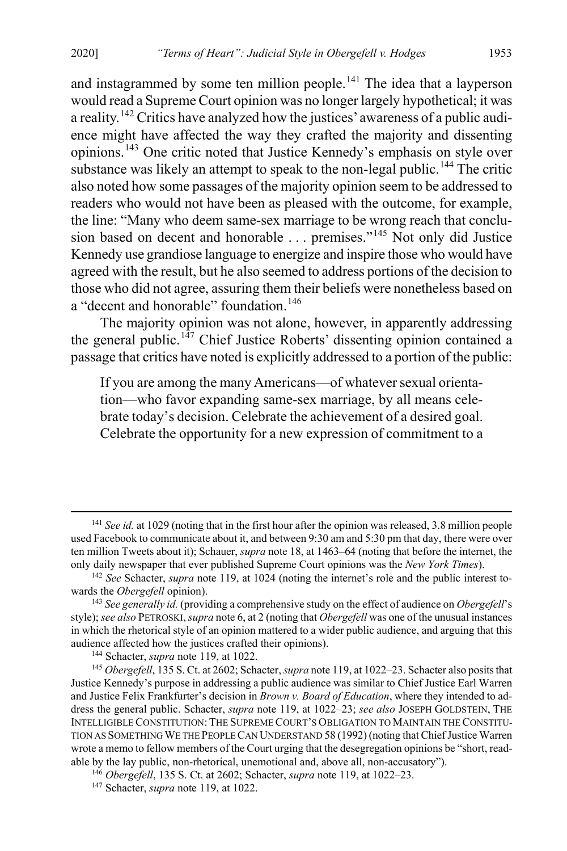and instagrammed by some ten million people.<sup>[141](#page-19-0)</sup> The idea that a layperson would read a Supreme Court opinion was no longer largely hypothetical; it was a reality.[142](#page-19-1) Critics have analyzed how the justices' awareness of a public audience might have affected the way they crafted the majority and dissenting opinions.[143](#page-19-2) One critic noted that Justice Kennedy's emphasis on style over substance was likely an attempt to speak to the non-legal public.<sup>[144](#page-19-3)</sup> The critic also noted how some passages of the majority opinion seem to be addressed to readers who would not have been as pleased with the outcome, for example, the line: "Many who deem same-sex marriage to be wrong reach that conclu-sion based on decent and honorable . . . premises."<sup>[145](#page-19-4)</sup> Not only did Justice Kennedy use grandiose language to energize and inspire those who would have agreed with the result, but he also seemed to address portions of the decision to those who did not agree, assuring them their beliefs were nonetheless based on a "decent and honorable" foundation.<sup>[146](#page-19-5)</sup>

The majority opinion was not alone, however, in apparently addressing the general public.<sup>[147](#page-19-6)</sup> Chief Justice Roberts' dissenting opinion contained a passage that critics have noted is explicitly addressed to a portion of the public:

If you are among the many Americans—of whatever sexual orientation—who favor expanding same-sex marriage, by all means celebrate today's decision. Celebrate the achievement of a desired goal. Celebrate the opportunity for a new expression of commitment to a

<span id="page-19-0"></span><sup>&</sup>lt;sup>141</sup> See id. at 1029 (noting that in the first hour after the opinion was released, 3.8 million people used Facebook to communicate about it, and between 9:30 am and 5:30 pm that day, there were over ten million Tweets about it); Schauer, *supra* note [18,](#page-4-11) at 1463–64 (noting that before the internet, the only daily newspaper that ever published Supreme Court opinions was the *New York Times*).

<span id="page-19-1"></span><sup>142</sup> *See* Schacter, *supra* note [119,](#page-16-1) at 1024 (noting the internet's role and the public interest towards the *Obergefell* opinion). 143 *See generally id.* (providing a comprehensive study on the effect of audience on *Obergefell*'s

<span id="page-19-2"></span>style); *see also* PETROSKI, *supra* note 6, at 2 (noting that *Obergefell* was one of the unusual instances in which the rhetorical style of an opinion mattered to a wider public audience, and arguing that this audience affected how the justices crafted their opinions).

<sup>144</sup> Schacter, *supra* note [119,](#page-16-1) at 1022.

<span id="page-19-4"></span><span id="page-19-3"></span><sup>145</sup> *Obergefell*, 135 S. Ct. at 2602; Schacter, *supra* not[e 119,](#page-16-1) at 1022–23. Schacter also posits that Justice Kennedy's purpose in addressing a public audience was similar to Chief Justice Earl Warren and Justice Felix Frankfurter's decision in *Brown v. Board of Education*, where they intended to address the general public. Schacter, *supra* note [119,](#page-16-1) at 1022–23; *see also* JOSEPH GOLDSTEIN, THE INTELLIGIBLE CONSTITUTION: THE SUPREME COURT'S OBLIGATION TO MAINTAIN THE CONSTITU-TION AS SOMETHING WE THE PEOPLE CAN UNDERSTAND 58 (1992) (noting that Chief Justice Warren wrote a memo to fellow members of the Court urging that the desegregation opinions be "short, readable by the lay public, non-rhetorical, unemotional and, above all, non-accusatory").

<span id="page-19-6"></span><span id="page-19-5"></span><sup>146</sup> *Obergefell*, 135 S. Ct. at 2602; Schacter, *supra* not[e 119,](#page-16-1) at 1022–23. 147 Schacter, *supra* note 119, at 1022.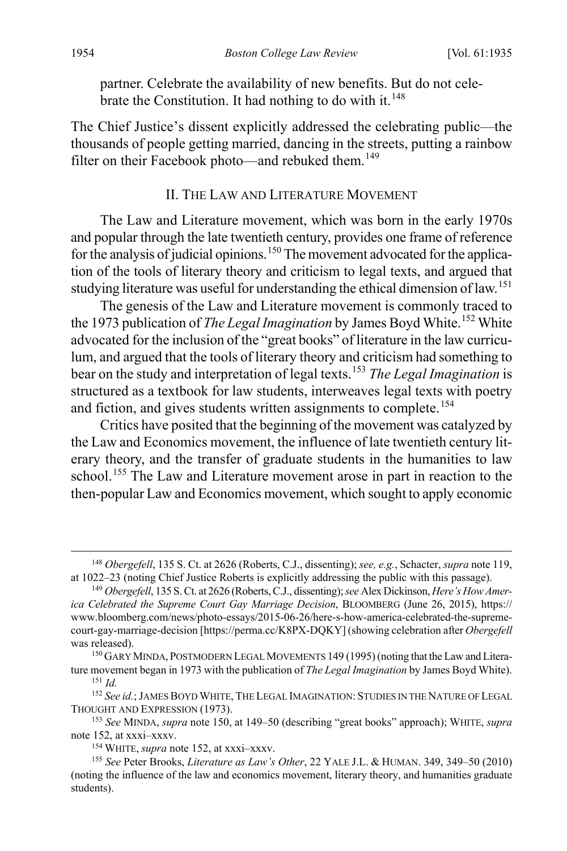partner. Celebrate the availability of new benefits. But do not cele-brate the Constitution. It had nothing to do with it.<sup>[148](#page-20-3)</sup>

The Chief Justice's dissent explicitly addressed the celebrating public—the thousands of people getting married, dancing in the streets, putting a rainbow filter on their Facebook photo—and rebuked them.<sup>[149](#page-20-4)</sup>

#### <span id="page-20-2"></span><span id="page-20-1"></span><span id="page-20-0"></span>II. THE LAW AND LITERATURE MOVEMENT

The Law and Literature movement, which was born in the early 1970s and popular through the late twentieth century, provides one frame of reference for the analysis of judicial opinions.<sup>[150](#page-20-5)</sup> The movement advocated for the application of the tools of literary theory and criticism to legal texts, and argued that studying literature was useful for understanding the ethical dimension of law.<sup>[151](#page-20-6)</sup>

The genesis of the Law and Literature movement is commonly traced to the 1973 publication of *The Legal Imagination* by James Boyd White.<sup>[152](#page-20-7)</sup> White advocated for the inclusion of the "great books" of literature in the law curriculum, and argued that the tools of literary theory and criticism had something to bear on the study and interpretation of legal texts.[153](#page-20-8) *The Legal Imagination* is structured as a textbook for law students, interweaves legal texts with poetry and fiction, and gives students written assignments to complete.<sup>[154](#page-20-9)</sup>

<span id="page-20-11"></span>Critics have posited that the beginning of the movement was catalyzed by the Law and Economics movement, the influence of late twentieth century literary theory, and the transfer of graduate students in the humanities to law school.<sup>[155](#page-20-10)</sup> The Law and Literature movement arose in part in reaction to the then-popular Law and Economics movement, which sought to apply economic

<span id="page-20-3"></span> <sup>148</sup> *Obergefell*, 135 S. Ct. at 2626 (Roberts, C.J., dissenting); *see, e.g.*, Schacter, *supra* not[e 119,](#page-16-1) at 1022–23 (noting Chief Justice Roberts is explicitly addressing the public with this passage). 149 *Obergefell*, 135 S. Ct. at 2626 (Roberts, C.J., dissenting); *see* Alex Dickinson, *Here's How Amer-*

<span id="page-20-4"></span>*ica Celebrated the Supreme Court Gay Marriage Decision*, BLOOMBERG (June 26, 2015), https:// www.bloomberg.com/news/photo-essays/2015-06-26/here-s-how-america-celebrated-the-supremecourt-gay-marriage-decision [https://perma.cc/K8PX-DQKY] (showing celebration after *Obergefell* was released).

<span id="page-20-5"></span><sup>&</sup>lt;sup>150</sup> GARY MINDA, POSTMODERN LEGAL MOVEMENTS 149 (1995) (noting that the Law and Literature movement began in 1973 with the publication of *The Legal Imagination* by James Boyd White). <sup>151</sup> *Id.*

<span id="page-20-7"></span><span id="page-20-6"></span><sup>&</sup>lt;sup>152</sup> *See id.*; JAMES BOYD WHITE, THE LEGAL IMAGINATION: STUDIES IN THE NATURE OF LEGAL THOUGHT AND EXPRESSION (1973).

<span id="page-20-8"></span><sup>&</sup>lt;sup>153</sup> See MINDA, *supra* note [150,](#page-20-1) at 149–50 (describing "great books" approach); WHITE, *supra* note 152, at xxxi-xxxv.

<span id="page-20-10"></span><span id="page-20-9"></span><sup>&</sup>lt;sup>154</sup> WHITE, *supra* note [152,](#page-20-2) at xxxi–xxxv.<br><sup>155</sup> See Peter Brooks, *Literature as Law's Other*, 22 YALE J.L. & HUMAN. 349, 349–50 (2010) (noting the influence of the law and economics movement, literary theory, and humanities graduate students).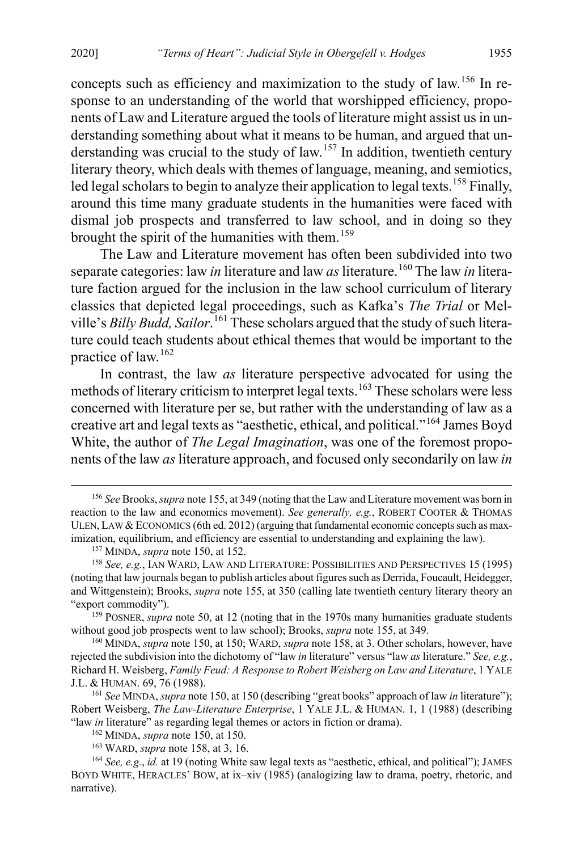concepts such as efficiency and maximization to the study of law.[156](#page-21-1) In response to an understanding of the world that worshipped efficiency, proponents of Law and Literature argued the tools of literature might assist us in understanding something about what it means to be human, and argued that un-derstanding was crucial to the study of law.<sup>[157](#page-21-2)</sup> In addition, twentieth century literary theory, which deals with themes of language, meaning, and semiotics, led legal scholars to begin to analyze their application to legal texts.<sup>[158](#page-21-3)</sup> Finally, around this time many graduate students in the humanities were faced with dismal job prospects and transferred to law school, and in doing so they brought the spirit of the humanities with them.<sup>[159](#page-21-4)</sup>

<span id="page-21-0"></span>The Law and Literature movement has often been subdivided into two separate categories: law *in* literature and law *as* literature.<sup>[160](#page-21-5)</sup> The law *in* literature faction argued for the inclusion in the law school curriculum of literary classics that depicted legal proceedings, such as Kafka's *The Trial* or Melville's *Billy Budd, Sailor*. [161](#page-21-6) These scholars argued that the study of such literature could teach students about ethical themes that would be important to the practice of law.[162](#page-21-7)

<span id="page-21-10"></span>In contrast, the law *as* literature perspective advocated for using the methods of literary criticism to interpret legal texts.<sup>[163](#page-21-8)</sup> These scholars were less concerned with literature per se, but rather with the understanding of law as a creative art and legal texts as "aesthetic, ethical, and political."[164](#page-21-9) James Boyd White, the author of *The Legal Imagination*, was one of the foremost proponents of the law *as* literature approach, and focused only secondarily on law *in*

<span id="page-21-1"></span> <sup>156</sup> *See* Brooks, *supra* not[e 155,](#page-20-11) at 349 (noting that the Law and Literature movement was born in reaction to the law and economics movement). *See generally, e.g.*, ROBERT COOTER & THOMAS ULEN, LAW & ECONOMICS (6th ed. 2012) (arguing that fundamental economic concepts such as maximization, equilibrium, and efficiency are essential to understanding and explaining the law).

<span id="page-21-11"></span><sup>157</sup> MINDA, *supra* not[e 150,](#page-20-1) at 152.

<span id="page-21-3"></span><span id="page-21-2"></span><sup>158</sup> *See, e.g.*, IAN WARD, LAW AND LITERATURE: POSSIBILITIES AND PERSPECTIVES 15 (1995) (noting that law journals began to publish articles about figures such as Derrida, Foucault, Heidegger, and Wittgenstein); Brooks, *supra* note [155,](#page-20-11) at 350 (calling late twentieth century literary theory an "export commodity").

<span id="page-21-4"></span><sup>&</sup>lt;sup>159</sup> POSNER, *supra* not[e 50,](#page-7-7) at 12 (noting that in the 1970s many humanities graduate students without good job prospects went to law school); Brooks, *supra* note [155,](#page-20-11) at 349.

<span id="page-21-5"></span><sup>160</sup> MINDA, *supra* not[e 150,](#page-20-1) at 150; WARD, *supra* not[e 158,](#page-21-0) at 3. Other scholars, however, have rejected the subdivision into the dichotomy of "law *in* literature" versus "law *as* literature." *See, e.g.*, Richard H. Weisberg, *Family Feud: A Response to Robert Weisberg on Law and Literature*, 1 YALE J.L. & HUMAN. 69, 76 (1988).

<span id="page-21-6"></span><sup>161</sup> *See* MINDA, *supra* not[e 150,](#page-20-1) at 150 (describing "great books" approach of law *in* literature"); Robert Weisberg, *The Law-Literature Enterprise*, 1 YALE J.L. & HUMAN. 1, 1 (1988) (describing "law *in* literature" as regarding legal themes or actors in fiction or drama).

<sup>162</sup> MINDA, *supra* not[e 150,](#page-20-1) at 150.

<sup>163</sup> WARD, *supra* not[e 158,](#page-21-0) at 3, 16.

<span id="page-21-9"></span><span id="page-21-8"></span><span id="page-21-7"></span><sup>164</sup> *See, e.g.*, *id.* at 19 (noting White saw legal texts as "aesthetic, ethical, and political"); JAMES BOYD WHITE, HERACLES' BOW, at ix–xiv (1985) (analogizing law to drama, poetry, rhetoric, and narrative).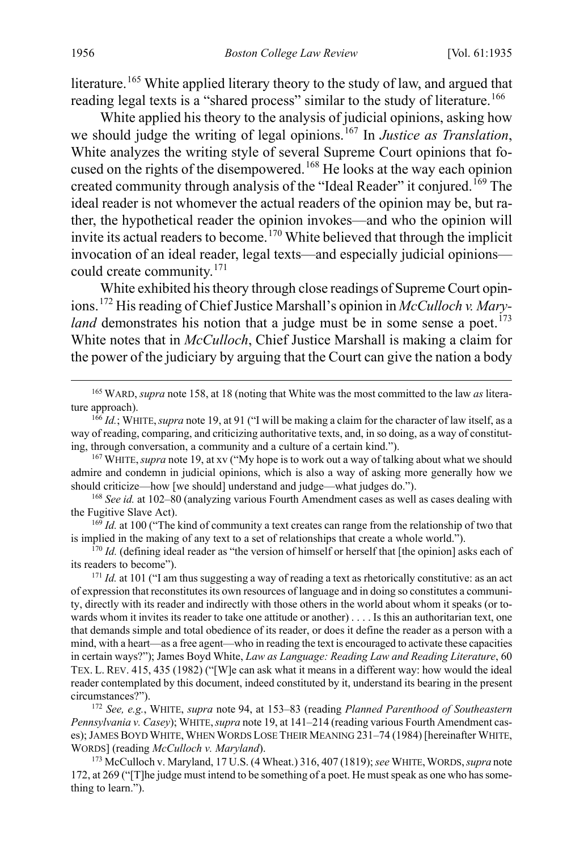literature.<sup>[165](#page-22-1)</sup> White applied literary theory to the study of law, and argued that reading legal texts is a "shared process" similar to the study of literature.<sup>[166](#page-22-2)</sup>

White applied his theory to the analysis of judicial opinions, asking how we should judge the writing of legal opinions.<sup>[167](#page-22-3)</sup> In *Justice as Translation*, White analyzes the writing style of several Supreme Court opinions that focused on the rights of the disempowered.[168](#page-22-4) He looks at the way each opinion created community through analysis of the "Ideal Reader" it conjured.<sup>[169](#page-22-5)</sup> The ideal reader is not whomever the actual readers of the opinion may be, but rather, the hypothetical reader the opinion invokes—and who the opinion will invite its actual readers to become.<sup>[170](#page-22-6)</sup> White believed that through the implicit invocation of an ideal reader, legal texts—and especially judicial opinions could create community.[171](#page-22-7)

<span id="page-22-11"></span><span id="page-22-10"></span><span id="page-22-0"></span>White exhibited his theory through close readings of Supreme Court opinions.[172](#page-22-8) His reading of Chief Justice Marshall's opinion in *McCulloch v. Maryland* demonstrates his notion that a judge must be in some sense a poet.<sup>[173](#page-22-9)</sup> White notes that in *McCulloch*, Chief Justice Marshall is making a claim for the power of the judiciary by arguing that the Court can give the nation a body

<span id="page-22-1"></span> 165 WARD, *supra* not[e 158,](#page-21-0) at 18 (noting that White was the most committed to the law *as* literature approach).

<span id="page-22-4"></span><sup>168</sup> *See id.* at 102–80 (analyzing various Fourth Amendment cases as well as cases dealing with the Fugitive Slave Act).

<span id="page-22-5"></span><sup>169</sup> *Id.* at 100 ("The kind of community a text creates can range from the relationship of two that is implied in the making of any text to a set of relationships that create a whole world.").

<span id="page-22-6"></span><sup>170</sup> *Id.* (defining ideal reader as "the version of himself or herself that [the opinion] asks each of its readers to become").

<span id="page-22-8"></span><sup>172</sup> *See, e.g.*, WHITE, *supra* note [94,](#page-12-10) at 153–83 (reading *Planned Parenthood of Southeastern Pennsylvania v. Casey*); WHITE,*supra* not[e 19,](#page-4-12) at 141–214 (reading various Fourth Amendment cases); JAMES BOYD WHITE, WHEN WORDS LOSE THEIR MEANING 231–74 (1984) [hereinafter WHITE, WORDS] (reading *McCulloch v. Maryland*).

<span id="page-22-9"></span><sup>173</sup> McCulloch v. Maryland, 17 U.S. (4 Wheat.) 316, 407 (1819); see WHITE, WORDS, supra note [172,](#page-22-0) at 269 ("[T]he judge must intend to be something of a poet. He mustspeak as one who has something to learn.").

<span id="page-22-2"></span><sup>166</sup> *Id.*; WHITE,*supra* not[e 19,](#page-4-12) at 91 ("I will be making a claim for the character of law itself, as a way of reading, comparing, and criticizing authoritative texts, and, in so doing, as a way of constituting, through conversation, a community and a culture of a certain kind.").

<span id="page-22-3"></span><sup>167</sup> WHITE,*supra* not[e 19,](#page-4-12) at xv ("My hope is to work out a way of talking about what we should admire and condemn in judicial opinions, which is also a way of asking more generally how we should criticize—how [we should] understand and judge—what judges do.").

<span id="page-22-7"></span><sup>&</sup>lt;sup>171</sup> *Id.* at 101 ("I am thus suggesting a way of reading a text as rhetorically constitutive: as an act of expression that reconstitutes its own resources of language and in doing so constitutes a community, directly with its reader and indirectly with those others in the world about whom it speaks (or towards whom it invites its reader to take one attitude or another) . . . . Is this an authoritarian text, one that demands simple and total obedience of its reader, or does it define the reader as a person with a mind, with a heart—as a free agent—who in reading the text is encouraged to activate these capacities in certain ways?"); James Boyd White, *Law as Language: Reading Law and Reading Literature*, 60 TEX. L. REV. 415, 435 (1982) ("[W]e can ask what it means in a different way: how would the ideal reader contemplated by this document, indeed constituted by it, understand its bearing in the present circumstances?").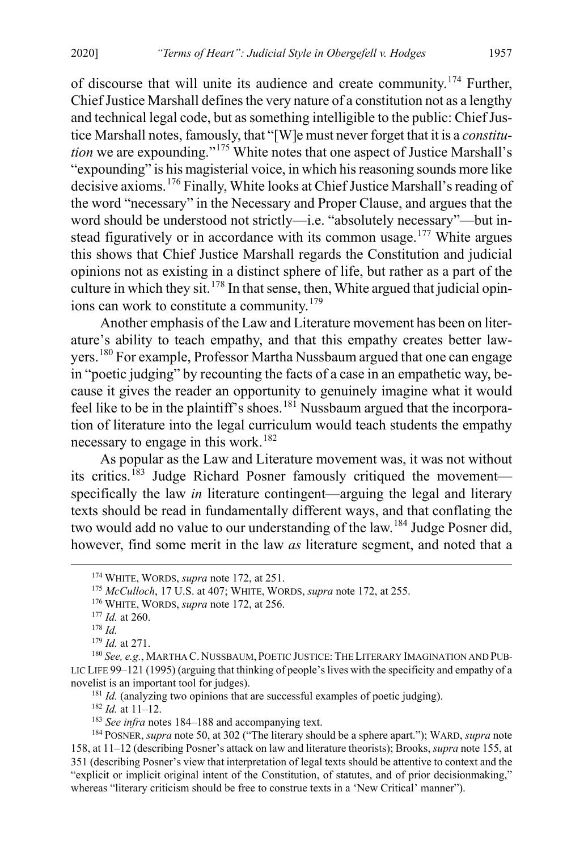of discourse that will unite its audience and create community.[174](#page-23-1) Further, Chief Justice Marshall defines the very nature of a constitution not as a lengthy and technical legal code, but as something intelligible to the public: Chief Justice Marshall notes, famously, that "[W]e must never forget that it is a *constitution* we are expounding."[175](#page-23-2) White notes that one aspect of Justice Marshall's "expounding" is his magisterial voice, in which his reasoning sounds more like decisive axioms.[176](#page-23-3) Finally, White looks at Chief Justice Marshall's reading of the word "necessary" in the Necessary and Proper Clause, and argues that the word should be understood not strictly—i.e. "absolutely necessary"—but in-stead figuratively or in accordance with its common usage.<sup>[177](#page-23-4)</sup> White argues this shows that Chief Justice Marshall regards the Constitution and judicial opinions not as existing in a distinct sphere of life, but rather as a part of the culture in which they sit.<sup>[178](#page-23-5)</sup> In that sense, then, White argued that judicial opinions can work to constitute a community.[179](#page-23-6)

<span id="page-23-12"></span>Another emphasis of the Law and Literature movement has been on literature's ability to teach empathy, and that this empathy creates better lawyers.[180](#page-23-7) For example, Professor Martha Nussbaum argued that one can engage in "poetic judging" by recounting the facts of a case in an empathetic way, because it gives the reader an opportunity to genuinely imagine what it would feel like to be in the plaintiff's shoes.<sup>[181](#page-23-8)</sup> Nussbaum argued that the incorporation of literature into the legal curriculum would teach students the empathy necessary to engage in this work.<sup>[182](#page-23-9)</sup>

As popular as the Law and Literature movement was, it was not without its critics.<sup>[183](#page-23-10)</sup> Judge Richard Posner famously critiqued the movement specifically the law *in* literature contingent—arguing the legal and literary texts should be read in fundamentally different ways, and that conflating the two would add no value to our understanding of the law.<sup>[184](#page-23-11)</sup> Judge Posner did, however, find some merit in the law *as* literature segment, and noted that a

<sup>181</sup> *Id.* (analyzing two opinions that are successful examples of poetic judging).

<sup>182</sup> *Id.* at 11–12.

<span id="page-23-1"></span><span id="page-23-0"></span> <sup>174</sup> WHITE, WORDS, *supra* note [172,](#page-22-0) at 251.

<span id="page-23-2"></span><sup>175</sup> *McCulloch*, 17 U.S. at 407; WHITE, WORDS, *supra* not[e 172,](#page-22-0) at 255.

<sup>176</sup> WHITE, WORDS, *supra* note [172,](#page-22-0) at 256.

<sup>177</sup> *Id.* at 260.

<sup>178</sup> *Id.*

<sup>179</sup> *Id.* at 271.

<span id="page-23-8"></span><span id="page-23-7"></span><span id="page-23-6"></span><span id="page-23-5"></span><span id="page-23-4"></span><span id="page-23-3"></span><sup>180</sup> *See, e.g.*, MARTHA C. NUSSBAUM, POETIC JUSTICE: THE LITERARY IMAGINATION AND PUB-LIC LIFE 99–121 (1995) (arguing that thinking of people's lives with the specificity and empathy of a novelist is an important tool for judges).

<sup>&</sup>lt;sup>183</sup> See infra notes [184–](#page-23-0)[188](#page-24-0) and accompanying text.

<span id="page-23-11"></span><span id="page-23-10"></span><span id="page-23-9"></span><sup>184</sup> POSNER, *supra* note 50, at 302 ("The literary should be a sphere apart."); WARD, *supra* note [158,](#page-21-0) at 11–12 (describing Posner's attack on law and literature theorists); Brooks, *supra* not[e 155,](#page-20-11) at 351 (describing Posner's view that interpretation of legal texts should be attentive to context and the "explicit or implicit original intent of the Constitution, of statutes, and of prior decisionmaking," whereas "literary criticism should be free to construe texts in a 'New Critical' manner").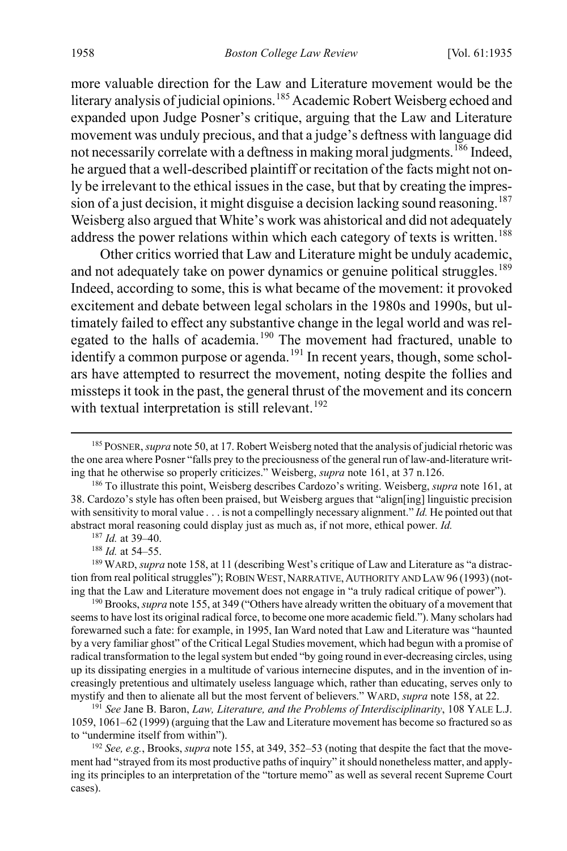more valuable direction for the Law and Literature movement would be the literary analysis of judicial opinions.<sup>[185](#page-24-1)</sup> Academic Robert Weisberg echoed and expanded upon Judge Posner's critique, arguing that the Law and Literature movement was unduly precious, and that a judge's deftness with language did not necessarily correlate with a deftness in making moral judgments.<sup>[186](#page-24-2)</sup> Indeed, he argued that a well-described plaintiff or recitation of the facts might not only be irrelevant to the ethical issues in the case, but that by creating the impres-sion of a just decision, it might disguise a decision lacking sound reasoning.<sup>[187](#page-24-3)</sup> Weisberg also argued that White's work was ahistorical and did not adequately address the power relations within which each category of texts is written.<sup>[188](#page-24-4)</sup>

<span id="page-24-0"></span>Other critics worried that Law and Literature might be unduly academic, and not adequately take on power dynamics or genuine political struggles.<sup>[189](#page-24-5)</sup> Indeed, according to some, this is what became of the movement: it provoked excitement and debate between legal scholars in the 1980s and 1990s, but ultimately failed to effect any substantive change in the legal world and was rel-egated to the halls of academia.<sup>[190](#page-24-6)</sup> The movement had fractured, unable to identify a common purpose or agenda.<sup>[191](#page-24-7)</sup> In recent years, though, some scholars have attempted to resurrect the movement, noting despite the follies and missteps it took in the past, the general thrust of the movement and its concern with textual interpretation is still relevant.<sup>[192](#page-24-8)</sup>

<sup>187</sup> *Id.* at 39–40.

<sup>188</sup> *Id.* at 54–55.

<span id="page-24-7"></span><sup>191</sup> *See* Jane B. Baron, *Law, Literature, and the Problems of Interdisciplinarity*, 108 YALE L.J. 1059, 1061–62 (1999) (arguing that the Law and Literature movement has become so fractured so as to "undermine itself from within").

<span id="page-24-8"></span><sup>192</sup> *See, e.g.*, Brooks, *supra* not[e 155,](#page-20-11) at 349, 352–53 (noting that despite the fact that the movement had "strayed from its most productive paths of inquiry" it should nonetheless matter, and applying its principles to an interpretation of the "torture memo" as well as several recent Supreme Court cases).

<span id="page-24-1"></span> <sup>185</sup> POSNER, *supra* not[e 50,](#page-7-7) at 17. Robert Weisberg noted that the analysis of judicial rhetoric was the one area where Posner "falls prey to the preciousness of the general run of law-and-literature writing that he otherwise so properly criticizes." Weisberg, *supra* not[e 161,](#page-21-10) at 37 n.126. 186 To illustrate this point, Weisberg describes Cardozo's writing. Weisberg, *supra* not[e 161,](#page-21-10) at

<span id="page-24-2"></span><sup>38.</sup> Cardozo's style has often been praised, but Weisberg argues that "align[ing] linguistic precision with sensitivity to moral value . . . is not a compellingly necessary alignment." *Id.* He pointed out that abstract moral reasoning could display just as much as, if not more, ethical power. *Id.*

<span id="page-24-5"></span><span id="page-24-4"></span><span id="page-24-3"></span><sup>&</sup>lt;sup>189</sup> WARD, *supra* not[e 158,](#page-21-0) at 11 (describing West's critique of Law and Literature as "a distraction from real political struggles"); ROBIN WEST, NARRATIVE, AUTHORITY AND LAW 96 (1993) (noting that the Law and Literature movement does not engage in "a truly radical critique of power").

<span id="page-24-6"></span><sup>190</sup> Brooks, *supra* not[e 155,](#page-20-11) at 349 ("Others have already written the obituary of a movement that seems to have lost its original radical force, to become one more academic field."). Many scholars had forewarned such a fate: for example, in 1995, Ian Ward noted that Law and Literature was "haunted by a very familiar ghost" of the Critical Legal Studies movement, which had begun with a promise of radical transformation to the legal system but ended "by going round in ever-decreasing circles, using up its dissipating energies in a multitude of various internecine disputes, and in the invention of increasingly pretentious and ultimately useless language which, rather than educating, serves only to mystify and then to alienate all but the most fervent of believers." WARD, *supra* not[e 158,](#page-21-0) at 22.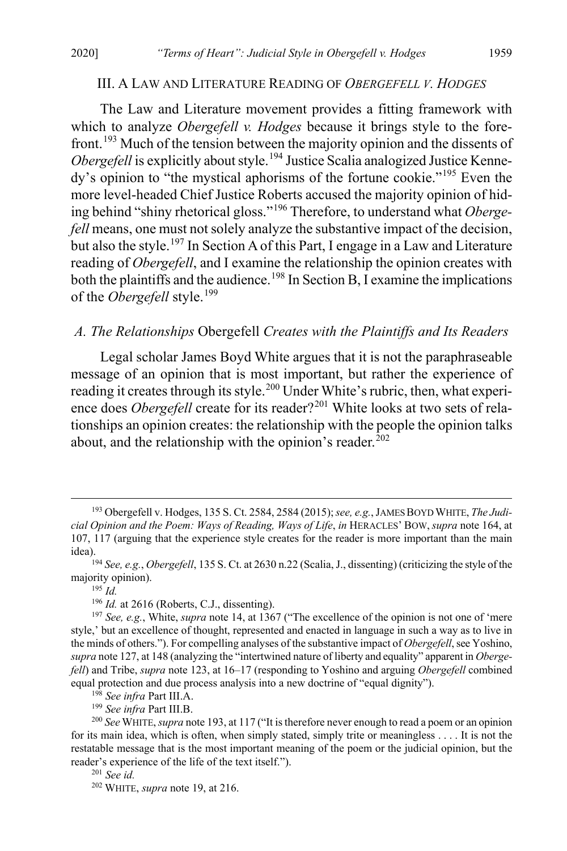#### III. A LAW AND LITERATURE READING OF *OBERGEFELL V. HODGES*

<span id="page-25-0"></span>The Law and Literature movement provides a fitting framework with which to analyze *Obergefell v. Hodges* because it brings style to the forefront.[193](#page-25-1) Much of the tension between the majority opinion and the dissents of *Obergefell* is explicitly about style.<sup>[194](#page-25-2)</sup> Justice Scalia analogized Justice Kennedy's opinion to "the mystical aphorisms of the fortune cookie."[195](#page-25-3) Even the more level-headed Chief Justice Roberts accused the majority opinion of hiding behind "shiny rhetorical gloss."[196](#page-25-4) Therefore, to understand what *Obergefell* means, one must not solely analyze the substantive impact of the decision, but also the style.<sup>[197](#page-25-5)</sup> In Section A of this Part, I engage in a Law and Literature reading of *Obergefell*, and I examine the relationship the opinion creates with both the plaintiffs and the audience.<sup>[198](#page-25-6)</sup> In Section B, I examine the implications of the *Obergefell* style.<sup>[199](#page-25-7)</sup>

#### *A. The Relationships* Obergefell *Creates with the Plaintiffs and Its Readers*

Legal scholar James Boyd White argues that it is not the paraphraseable message of an opinion that is most important, but rather the experience of reading it creates through its style.<sup>[200](#page-25-8)</sup> Under White's rubric, then, what experience does *Obergefell* create for its reader?<sup>[201](#page-25-9)</sup> White looks at two sets of relationships an opinion creates: the relationship with the people the opinion talks about, and the relationship with the opinion's reader.<sup>[202](#page-25-10)</sup>

<sup>196</sup> *Id.* at 2616 (Roberts, C.J., dissenting).

<span id="page-25-1"></span> <sup>193</sup> Obergefell v. Hodges, 135 S. Ct. 2584, 2584 (2015); *see, e.g.*, JAMES BOYD WHITE, *The Judicial Opinion and the Poem: Ways of Reading, Ways of Life*, *in* HERACLES' BOW, *supra* not[e 164,](#page-21-11) at 107, 117 (arguing that the experience style creates for the reader is more important than the main idea). 194 *See, e.g.*, *Obergefell*, 135 S. Ct. at 2630 n.22 (Scalia, J., dissenting) (criticizing the style of the

<span id="page-25-3"></span><span id="page-25-2"></span>majority opinion).

<sup>195</sup> *Id.*

<span id="page-25-5"></span><span id="page-25-4"></span><sup>197</sup> *See, e.g.*, White, *supra* not[e 14,](#page-3-6) at 1367 ("The excellence of the opinion is not one of 'mere style,' but an excellence of thought, represented and enacted in language in such a way as to live in the minds of others."). For compelling analyses of the substantive impact of *Obergefell*, see Yoshino, *supra* not[e 127,](#page-17-8) at 148 (analyzing the "intertwined nature of liberty and equality" apparent in *Obergefell*) and Tribe, *supra* note [123,](#page-16-10) at 16–17 (responding to Yoshino and arguing *Obergefell* combined equal protection and due process analysis into a new doctrine of "equal dignity").

<span id="page-25-8"></span><span id="page-25-7"></span><span id="page-25-6"></span><sup>&</sup>lt;sup>198</sup> *See infra* Part III.A.<br><sup>199</sup> *See infra* Part III.B.<br><sup>200</sup> *See* WHITE, *supra* not[e 193,](#page-25-0) at 117 ("It is therefore never enough to read a poem or an opinion for its main idea, which is often, when simply stated, simply trite or meaningless . . . . It is not the restatable message that is the most important meaning of the poem or the judicial opinion, but the reader's experience of the life of the text itself.").

<span id="page-25-9"></span><sup>201</sup> *See id.*

<span id="page-25-10"></span><sup>202</sup> WHITE, *supra* not[e 19,](#page-4-12) at 216.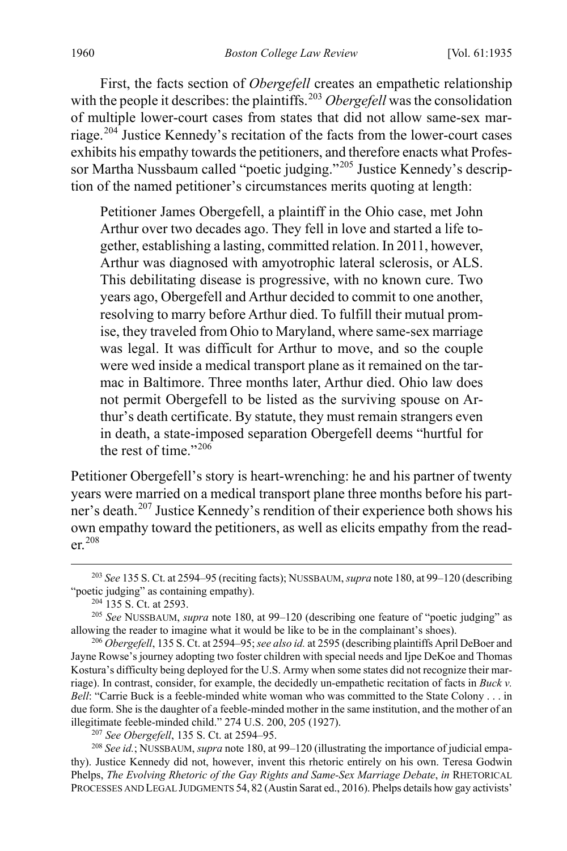First, the facts section of *Obergefell* creates an empathetic relationship with the people it describes: the plaintiffs.<sup>[203](#page-26-0)</sup> *Obergefell* was the consolidation of multiple lower-court cases from states that did not allow same-sex marriage.[204](#page-26-1) Justice Kennedy's recitation of the facts from the lower-court cases exhibits his empathy towards the petitioners, and therefore enacts what Profes-sor Martha Nussbaum called "poetic judging."<sup>[205](#page-26-2)</sup> Justice Kennedy's description of the named petitioner's circumstances merits quoting at length:

Petitioner James Obergefell, a plaintiff in the Ohio case, met John Arthur over two decades ago. They fell in love and started a life together, establishing a lasting, committed relation. In 2011, however, Arthur was diagnosed with amyotrophic lateral sclerosis, or ALS. This debilitating disease is progressive, with no known cure. Two years ago, Obergefell and Arthur decided to commit to one another, resolving to marry before Arthur died. To fulfill their mutual promise, they traveled from Ohio to Maryland, where same-sex marriage was legal. It was difficult for Arthur to move, and so the couple were wed inside a medical transport plane as it remained on the tarmac in Baltimore. Three months later, Arthur died. Ohio law does not permit Obergefell to be listed as the surviving spouse on Arthur's death certificate. By statute, they must remain strangers even in death, a state-imposed separation Obergefell deems "hurtful for the rest of time." $206$ 

Petitioner Obergefell's story is heart-wrenching: he and his partner of twenty years were married on a medical transport plane three months before his partner's death.[207](#page-26-4) Justice Kennedy's rendition of their experience both shows his own empathy toward the petitioners, as well as elicits empathy from the reader.[208](#page-26-5)

<span id="page-26-5"></span><span id="page-26-4"></span><sup>208</sup> See id.; NUSSBAUM, *supra* not[e 180,](#page-23-12) at 99–120 (illustrating the importance of judicial empathy). Justice Kennedy did not, however, invent this rhetoric entirely on his own. Teresa Godwin Phelps, *The Evolving Rhetoric of the Gay Rights and Same-Sex Marriage Debate*, *in* RHETORICAL PROCESSES AND LEGAL JUDGMENTS 54, 82 (Austin Sarat ed., 2016). Phelps details how gay activists'

<span id="page-26-0"></span> <sup>203</sup> *See* 135 S. Ct. at 2594–95 (reciting facts); NUSSBAUM, *supra* not[e 180,](#page-23-12) at 99–120 (describing "poetic judging" as containing empathy).

<sup>&</sup>lt;sup>204</sup> 135 S. Ct. at 2593.

<span id="page-26-2"></span><span id="page-26-1"></span><sup>205</sup> *See* NUSSBAUM, *supra* not[e 180,](#page-23-12) at 99–120 (describing one feature of "poetic judging" as allowing the reader to imagine what it would be like to be in the complainant's shoes).

<span id="page-26-3"></span><sup>206</sup> *Obergefell*, 135 S. Ct. at 2594–95;*see also id.* at 2595 (describing plaintiffs April DeBoer and Jayne Rowse's journey adopting two foster children with special needs and Ijpe DeKoe and Thomas Kostura's difficulty being deployed for the U.S. Army when some states did not recognize their marriage). In contrast, consider, for example, the decidedly un-empathetic recitation of facts in *Buck v. Bell*: "Carrie Buck is a feeble-minded white woman who was committed to the State Colony . . . in due form. She is the daughter of a feeble-minded mother in the same institution, and the mother of an illegitimate feeble-minded child." 274 U.S. 200, 205 (1927).<br><sup>207</sup> See Obergefell, 135 S. Ct. at 2594–95.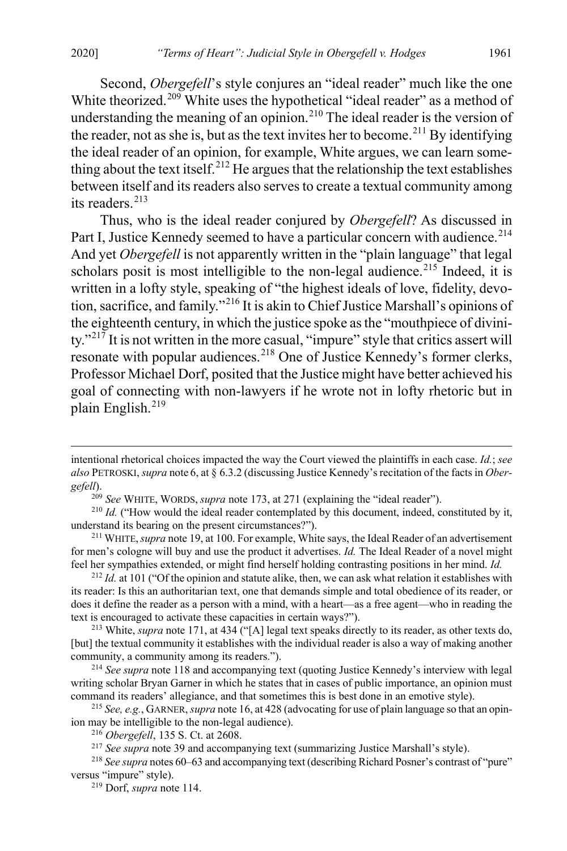Second, *Obergefell*'s style conjures an "ideal reader" much like the one White theorized.<sup>[209](#page-27-0)</sup> White uses the hypothetical "ideal reader" as a method of understanding the meaning of an opinion.<sup>[210](#page-27-1)</sup> The ideal reader is the version of the reader, not as she is, but as the text invites her to become.<sup>[211](#page-27-2)</sup> By identifying the ideal reader of an opinion, for example, White argues, we can learn some-thing about the text itself.<sup>[212](#page-27-3)</sup> He argues that the relationship the text establishes between itself and its readers also serves to create a textual community among its readers.<sup>[213](#page-27-4)</sup>

Thus, who is the ideal reader conjured by *Obergefell*? As discussed in Part I, Justice Kennedy seemed to have a particular concern with audience.<sup>[214](#page-27-5)</sup> And yet *Obergefell* is not apparently written in the "plain language" that legal scholars posit is most intelligible to the non-legal audience.<sup>[215](#page-27-6)</sup> Indeed, it is written in a lofty style, speaking of "the highest ideals of love, fidelity, devotion, sacrifice, and family."[216](#page-27-7) It is akin to Chief Justice Marshall's opinions of the eighteenth century, in which the justice spoke as the "mouthpiece of divini-ty."<sup>[217](#page-27-8)</sup> It is not written in the more casual, "impure" style that critics assert will resonate with popular audiences.<sup>[218](#page-27-9)</sup> One of Justice Kennedy's former clerks, Professor Michael Dorf, posited that the Justice might have better achieved his goal of connecting with non-lawyers if he wrote not in lofty rhetoric but in plain English.[219](#page-27-10)

<sup>209</sup> See WHITE, WORDS, *supra* note [173,](#page-22-10) at 271 (explaining the "ideal reader").

<span id="page-27-3"></span><sup>212</sup> *Id.* at 101 ("Of the opinion and statute alike, then, we can ask what relation it establishes with its reader: Is this an authoritarian text, one that demands simple and total obedience of its reader, or does it define the reader as a person with a mind, with a heart—as a free agent—who in reading the text is encouraged to activate these capacities in certain ways?").

<span id="page-27-4"></span><sup>213</sup> White, *supra* not[e 171,](#page-22-11) at 434 ("[A] legal text speaks directly to its reader, as other texts do, [but] the textual community it establishes with the individual reader is also a way of making another community, a community among its readers.").

<span id="page-27-5"></span><sup>214</sup> *See supra* not[e 118](#page-15-7) and accompanying text (quoting Justice Kennedy's interview with legal writing scholar Bryan Garner in which he states that in cases of public importance, an opinion must command its readers' allegiance, and that sometimes this is best done in an emotive style).

<span id="page-27-6"></span><sup>215</sup> *See, e.g.*, GARNER, *supra* not[e 16,](#page-3-7) at 428 (advocating for use of plain language so that an opinion may be intelligible to the non-legal audience).

 $\overline{a}$ 

intentional rhetorical choices impacted the way the Court viewed the plaintiffs in each case. *Id.*; *see also* PETROSKI, *supra* note [6,](#page-2-8) at § 6.3.2 (discussing Justice Kennedy's recitation of the facts in *Obergefell*).

<span id="page-27-1"></span><span id="page-27-0"></span><sup>&</sup>lt;sup>210</sup> *Id.* ("How would the ideal reader contemplated by this document, indeed, constituted by it, understand its bearing on the present circumstances?").

<span id="page-27-2"></span><sup>&</sup>lt;sup>211</sup> WHITE, *supra* not[e 19,](#page-4-12) at 100. For example, White says, the Ideal Reader of an advertisement for men's cologne will buy and use the product it advertises. *Id.* The Ideal Reader of a novel might feel her sympathies extended, or might find herself holding contrasting positions in her mind. *Id.*

<sup>216</sup> *Obergefell*, 135 S. Ct. at 2608.

<sup>&</sup>lt;sup>217</sup> See supra not[e 39](#page-6-11) and accompanying text (summarizing Justice Marshall's style).

<span id="page-27-10"></span><span id="page-27-9"></span><span id="page-27-8"></span><span id="page-27-7"></span><sup>218</sup> *See supra* note[s 60](#page-8-13)[–63](#page-9-7) and accompanying text (describing Richard Posner's contrast of "pure" versus "impure" style).

<sup>219</sup> Dorf, *supra* note [114.](#page-15-6)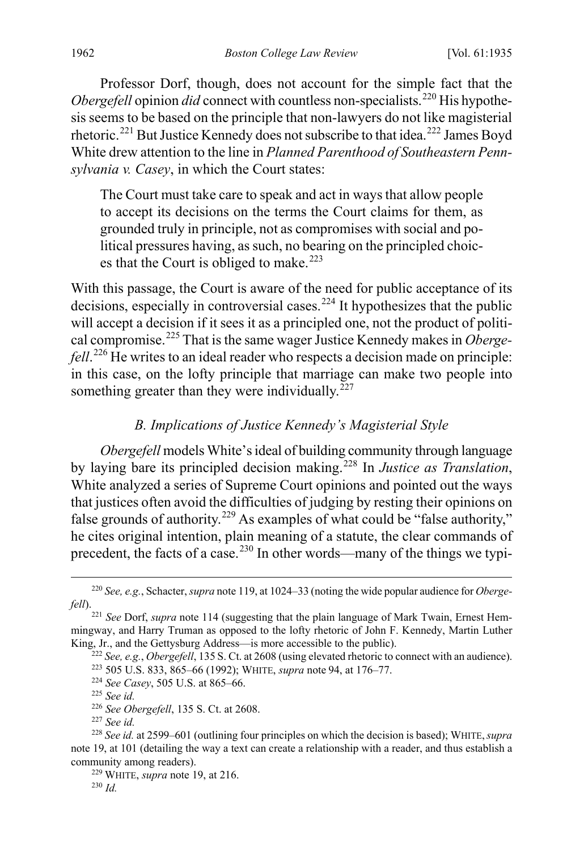Professor Dorf, though, does not account for the simple fact that the *Obergefell* opinion *did* connect with countless non-specialists.<sup>[220](#page-28-0)</sup> His hypothesis seems to be based on the principle that non-lawyers do not like magisterial rhetoric.[221](#page-28-1) But Justice Kennedy does not subscribe to that idea.[222](#page-28-2) James Boyd White drew attention to the line in *Planned Parenthood of Southeastern Pennsylvania v. Casey*, in which the Court states:

<span id="page-28-11"></span>The Court must take care to speak and act in ways that allow people to accept its decisions on the terms the Court claims for them, as grounded truly in principle, not as compromises with social and political pressures having, as such, no bearing on the principled choic-es that the Court is obliged to make.<sup>[223](#page-28-3)</sup>

With this passage, the Court is aware of the need for public acceptance of its decisions, especially in controversial cases.<sup>[224](#page-28-4)</sup> It hypothesizes that the public will accept a decision if it sees it as a principled one, not the product of political compromise.[225](#page-28-5) That is the same wager Justice Kennedy makes in *Obergefell*. [226](#page-28-6) He writes to an ideal reader who respects a decision made on principle: in this case, on the lofty principle that marriage can make two people into something greater than they were individually. $^{227}$  $^{227}$  $^{227}$ 

### *B. Implications of Justice Kennedy's Magisterial Style*

*Obergefell* models White's ideal of building community through language by laying bare its principled decision making.[228](#page-28-8) In *Justice as Translation*, White analyzed a series of Supreme Court opinions and pointed out the ways that justices often avoid the difficulties of judging by resting their opinions on false grounds of authority.<sup>[229](#page-28-9)</sup> As examples of what could be "false authority," he cites original intention, plain meaning of a statute, the clear commands of precedent, the facts of a case.<sup>[230](#page-28-10)</sup> In other words—many of the things we typi-

<span id="page-28-0"></span> <sup>220</sup> *See, e.g.*, Schacter, *supra* not[e 119,](#page-16-1) at 1024–33 (noting the wide popular audience for *Obergefell*).

<span id="page-28-3"></span><span id="page-28-2"></span><span id="page-28-1"></span><sup>221</sup> *See* Dorf, *supra* not[e 114](#page-15-6) (suggesting that the plain language of Mark Twain, Ernest Hemmingway, and Harry Truman as opposed to the lofty rhetoric of John F. Kennedy, Martin Luther King, Jr., and the Gettysburg Address—is more accessible to the public).

<sup>222</sup> *See, e.g.*, *Obergefell*, 135 S. Ct. at 2608 (using elevated rhetoric to connect with an audience).

<sup>223</sup> 505 U.S. 833, 865–66 (1992); WHITE, *supra* note [94,](#page-12-10) at 176–77. 224 *See Casey*, 505 U.S. at 865–66.

<sup>225</sup> *See id.*

<sup>226</sup> *See Obergefell*, 135 S. Ct. at 2608.

<sup>227</sup> *See id.*

<span id="page-28-10"></span><span id="page-28-9"></span><span id="page-28-8"></span><span id="page-28-7"></span><span id="page-28-6"></span><span id="page-28-5"></span><span id="page-28-4"></span><sup>228</sup> *See id.* at 2599–601 (outlining four principles on which the decision is based); WHITE,*supra* note [19,](#page-4-12) at 101 (detailing the way a text can create a relationship with a reader, and thus establish a community among readers).

<sup>229</sup> WHITE, *supra* not[e 19,](#page-4-12) at 216.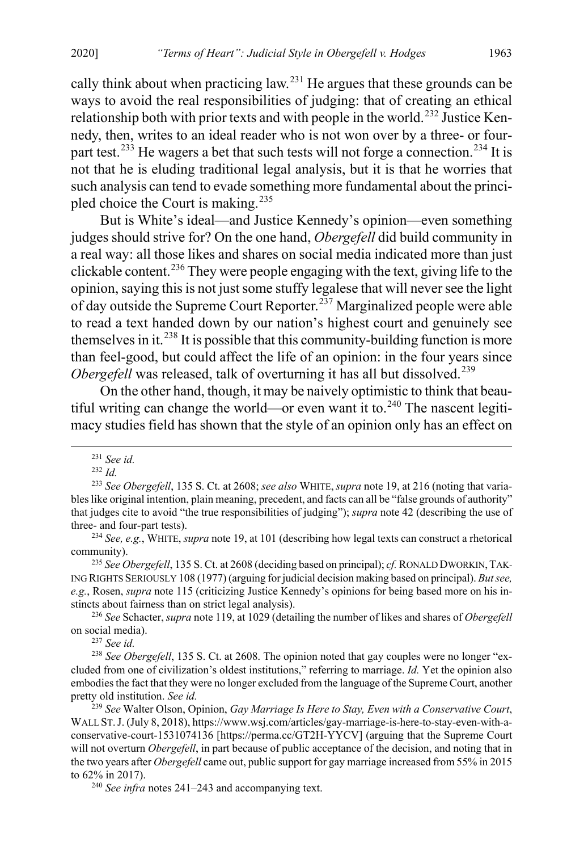cally think about when practicing law.<sup>[231](#page-29-0)</sup> He argues that these grounds can be ways to avoid the real responsibilities of judging: that of creating an ethical relationship both with prior texts and with people in the world.<sup>[232](#page-29-1)</sup> Justice Kennedy, then, writes to an ideal reader who is not won over by a three- or four-part test.<sup>[233](#page-29-2)</sup> He wagers a bet that such tests will not forge a connection.<sup>[234](#page-29-3)</sup> It is not that he is eluding traditional legal analysis, but it is that he worries that such analysis can tend to evade something more fundamental about the princi-pled choice the Court is making.<sup>[235](#page-29-4)</sup>

But is White's ideal—and Justice Kennedy's opinion—even something judges should strive for? On the one hand, *Obergefell* did build community in a real way: all those likes and shares on social media indicated more than just clickable content.<sup>[236](#page-29-5)</sup> They were people engaging with the text, giving life to the opinion, saying this is not just some stuffy legalese that will never see the light of day outside the Supreme Court Reporter.<sup>[237](#page-29-6)</sup> Marginalized people were able to read a text handed down by our nation's highest court and genuinely see themselves in it.<sup>[238](#page-29-7)</sup> It is possible that this community-building function is more than feel-good, but could affect the life of an opinion: in the four years since *Obergefell* was released, talk of overturning it has all but dissolved.<sup>[239](#page-29-8)</sup>

On the other hand, though, it may be naively optimistic to think that beau-tiful writing can change the world—or even want it to.<sup>[240](#page-29-9)</sup> The nascent legitimacy studies field has shown that the style of an opinion only has an effect on

<sup>237</sup> *See id.*

 <sup>231</sup> *See id.*

<sup>232</sup> *Id.*

<span id="page-29-2"></span><span id="page-29-1"></span><span id="page-29-0"></span><sup>233</sup> *See Obergefell*, 135 S. Ct. at 2608; *see also* WHITE, *supra* note [19,](#page-4-12) at 216 (noting that variables like original intention, plain meaning, precedent, and facts can all be "false grounds of authority" that judges cite to avoid "the true responsibilities of judging"); *supra* not[e 42](#page-6-12) (describing the use of three- and four-part tests).

<span id="page-29-3"></span><sup>234</sup> *See, e.g.*, WHITE, *supra* not[e 19,](#page-4-12) at 101 (describing how legal texts can construct a rhetorical community). 235 *See Obergefell*, 135 S. Ct. at 2608 (deciding based on principal); *cf.* RONALD DWORKIN,TAK-

<span id="page-29-4"></span>ING RIGHTS SERIOUSLY 108 (1977) (arguing for judicial decision making based on principal). *But see, e.g.*, Rosen, *supra* not[e 115](#page-15-8) (criticizing Justice Kennedy's opinions for being based more on his instincts about fairness than on strict legal analysis).

<span id="page-29-5"></span><sup>236</sup> *See* Schacter, *supra* not[e 119,](#page-16-1) at 1029 (detailing the number of likes and shares of *Obergefell* on social media).

<span id="page-29-7"></span><span id="page-29-6"></span><sup>238</sup> *See Obergefell*, 135 S. Ct. at 2608. The opinion noted that gay couples were no longer "excluded from one of civilization's oldest institutions," referring to marriage. *Id.* Yet the opinion also embodies the fact that they were no longer excluded from the language of the Supreme Court, another pretty old institution. *See id.*

<span id="page-29-8"></span><sup>239</sup> *See* Walter Olson, Opinion, *Gay Marriage Is Here to Stay, Even with a Conservative Court*, WALL ST.J. (July 8, 2018), https://www.wsj.com/articles/gay-marriage-is-here-to-stay-even-with-aconservative-court-1531074136 [https://perma.cc/GT2H-YYCV] (arguing that the Supreme Court will not overturn *Obergefell*, in part because of public acceptance of the decision, and noting that in the two years after *Obergefell* came out, public support for gay marriage increased from 55% in 2015 to 62% in 2017).

<span id="page-29-9"></span><sup>240</sup> *See infra* notes [241–](#page-30-0)[243](#page-30-1) and accompanying text.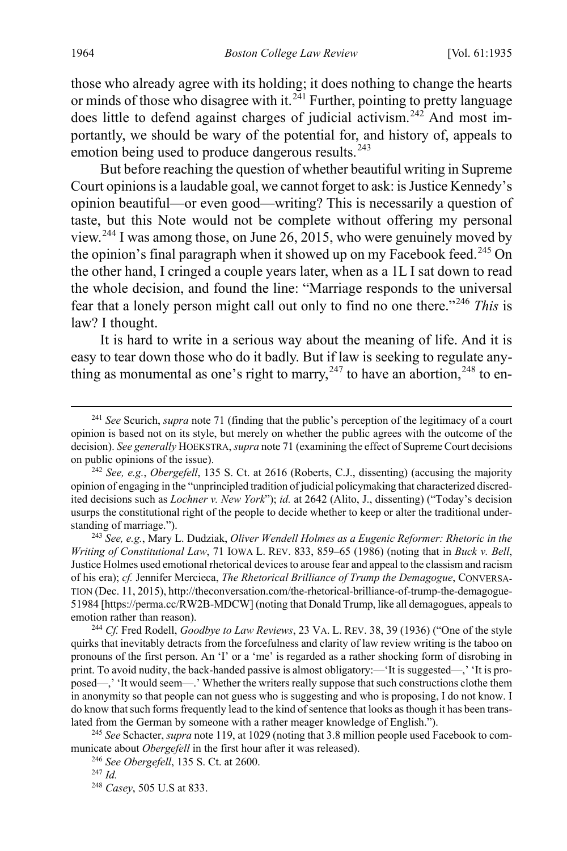<span id="page-30-0"></span>those who already agree with its holding; it does nothing to change the hearts or minds of those who disagree with it.<sup>[241](#page-30-2)</sup> Further, pointing to pretty language does little to defend against charges of judicial activism.<sup>[242](#page-30-3)</sup> And most importantly, we should be wary of the potential for, and history of, appeals to emotion being used to produce dangerous results.<sup>[243](#page-30-4)</sup>

<span id="page-30-1"></span>But before reaching the question of whether beautiful writing in Supreme Court opinions is a laudable goal, we cannot forget to ask: is Justice Kennedy's opinion beautiful—or even good—writing? This is necessarily a question of taste, but this Note would not be complete without offering my personal view.[244](#page-30-5) I was among those, on June 26, 2015, who were genuinely moved by the opinion's final paragraph when it showed up on my Facebook feed.<sup>[245](#page-30-6)</sup> On the other hand, I cringed a couple years later, when as a 1L I sat down to read the whole decision, and found the line: "Marriage responds to the universal fear that a lonely person might call out only to find no one there."[246](#page-30-7) *This* is law? I thought.

It is hard to write in a serious way about the meaning of life. And it is easy to tear down those who do it badly. But if law is seeking to regulate anything as monumental as one's right to marry,  $247$  to have an abortion,  $248$  to en-

<span id="page-30-5"></span><sup>244</sup> *Cf.* Fred Rodell, *Goodbye to Law Reviews*, 23 VA. L. REV. 38, 39 (1936) ("One of the style quirks that inevitably detracts from the forcefulness and clarity of law review writing is the taboo on pronouns of the first person. An 'I' or a 'me' is regarded as a rather shocking form of disrobing in print. To avoid nudity, the back-handed passive is almost obligatory:—'It is suggested—,' 'It is proposed—,' 'It would seem—.' Whether the writers really suppose that such constructions clothe them in anonymity so that people can not guess who is suggesting and who is proposing, I do not know. I do know that such forms frequently lead to the kind of sentence that looks as though it has been translated from the German by someone with a rather meager knowledge of English.").

<span id="page-30-9"></span><span id="page-30-8"></span><span id="page-30-7"></span><span id="page-30-6"></span>245 *See* Schacter, *supra* not[e 119,](#page-16-1) at 1029 (noting that 3.8 million people used Facebook to communicate about *Obergefell* in the first hour after it was released).

<sup>246</sup> *See Obergefell*, 135 S. Ct. at 2600.

248 *Casey*, 505 U.S at 833.

<span id="page-30-2"></span> <sup>241</sup> *See* Scurich, *supra* not[e 71](#page-10-11) (finding that the public's perception of the legitimacy of a court opinion is based not on its style, but merely on whether the public agrees with the outcome of the decision). *See generally* HOEKSTRA,*supra* not[e 71](#page-10-11) (examining the effect of Supreme Court decisions on public opinions of the issue).

<span id="page-30-3"></span><sup>242</sup> *See, e.g.*, *Obergefell*, 135 S. Ct. at 2616 (Roberts, C.J., dissenting) (accusing the majority opinion of engaging in the "unprincipled tradition of judicial policymaking that characterized discredited decisions such as *Lochner v. New York*"); *id.* at 2642 (Alito, J., dissenting) ("Today's decision usurps the constitutional right of the people to decide whether to keep or alter the traditional understanding of marriage.").

<span id="page-30-4"></span><sup>243</sup> *See, e.g.*, Mary L. Dudziak, *Oliver Wendell Holmes as a Eugenic Reformer: Rhetoric in the Writing of Constitutional Law*, 71 IOWA L. REV. 833, 859–65 (1986) (noting that in *Buck v. Bell*, Justice Holmes used emotional rhetorical devices to arouse fear and appeal to the classism and racism of his era); *cf.* Jennifer Mercieca, *The Rhetorical Brilliance of Trump the Demagogue*, CONVERSA-TION (Dec. 11, 2015), http://theconversation.com/the-rhetorical-brilliance-of-trump-the-demagogue-51984 [https://perma.cc/RW2B-MDCW] (noting that Donald Trump, like all demagogues, appeals to emotion rather than reason).

<sup>247</sup> *Id.*